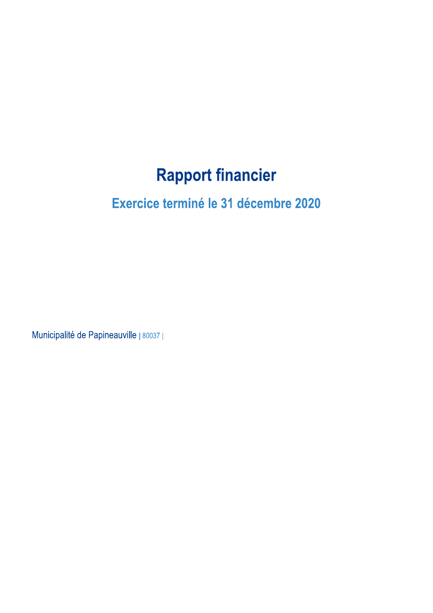## **Rapport financier**

### Exercice terminé le 31 décembre 2020

Municipalité de Papineauville | 80037 |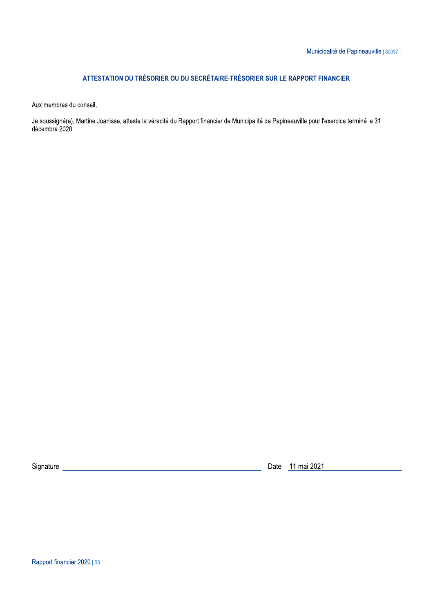### ATTESTATION DU TRÉSORIER OU DU SECRÉTAIRE-TRÉSORIER SUR LE RAPPORT FINANCIER

Aux membres du conseil,

Je soussigné(e), Martine Joanisse, atteste la véracité du Rapport financier de Municipalité de Papineauville pour l'exercice terminé le 31 décembre 2020.

Rapport financier 2020 | S3 |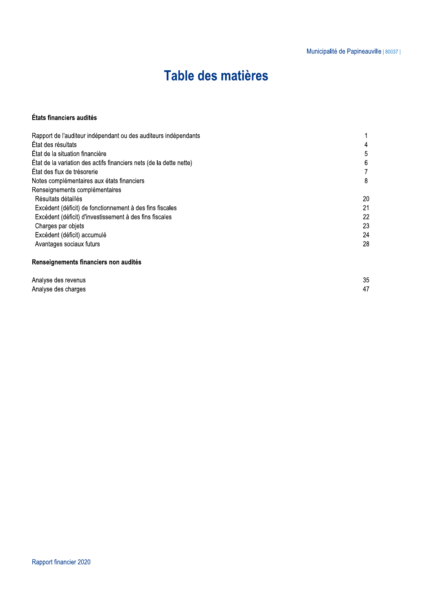### Table des matières

### États financiers audités

| Rapport de l'auditeur indépendant ou des auditeurs indépendants     |    |
|---------------------------------------------------------------------|----|
| État des résultats                                                  | 4  |
| État de la situation financière                                     | 5  |
| État de la variation des actifs financiers nets (de la dette nette) | 6  |
| État des flux de trésorerie                                         |    |
| Notes complémentaires aux états financiers                          | 8  |
| Renseignements complémentaires                                      |    |
| Résultats détaillés                                                 | 20 |
| Excédent (déficit) de fonctionnement à des fins fiscales            | 21 |
| Excédent (déficit) d'investissement à des fins fiscales             | 22 |
| Charges par objets                                                  | 23 |
| Excédent (déficit) accumulé                                         | 24 |
| Avantages sociaux futurs                                            | 28 |
|                                                                     |    |

### Renseignements financiers non audités

| Analyse des revenus | 35 |
|---------------------|----|
| Analyse des charges |    |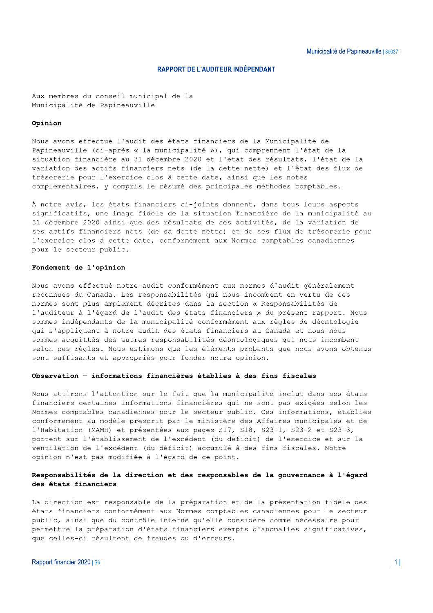#### **RAPPORT DE L'AUDITEUR INDÉPENDANT**

Aux membres du conseil municipal de la Municipalité de Papineauville

#### Opinion

Nous avons effectué l'audit des états financiers de la Municipalité de Papineauville (ci-après « la municipalité »), qui comprennent l'état de la situation financière au 31 décembre 2020 et l'état des résultats, l'état de la variation des actifs financiers nets (de la dette nette) et l'état des flux de trésorerie pour l'exercice clos à cette date, ainsi que les notes complémentaires, y compris le résumé des principales méthodes comptables.

À notre avis, les états financiers ci-joints donnent, dans tous leurs aspects significatifs, une image fidèle de la situation financière de la municipalité au 31 décembre 2020 ainsi que des résultats de ses activités, de la variation de ses actifs financiers nets (de sa dette nette) et de ses flux de trésorerie pour l'exercice clos à cette date, conformément aux Normes comptables canadiennes pour le secteur public.

#### Fondement de l'opinion

Nous avons effectué notre audit conformément aux normes d'audit généralement reconnues du Canada. Les responsabilités qui nous incombent en vertu de ces normes sont plus amplement décrites dans la section « Responsabilités de l'auditeur à l'égard de l'audit des états financiers » du présent rapport. Nous sommes indépendants de la municipalité conformément aux règles de déontologie qui s'appliquent à notre audit des états financiers au Canada et nous nous sommes acquittés des autres responsabilités déontologiques qui nous incombent selon ces règles. Nous estimons que les éléments probants que nous avons obtenus sont suffisants et appropriés pour fonder notre opinion.

#### Observation - informations financières établies à des fins fiscales

Nous attirons l'attention sur le fait que la municipalité inclut dans ses états financiers certaines informations financières qui ne sont pas exigées selon les Normes comptables canadiennes pour le secteur public. Ces informations, établies conformément au modèle prescrit par le ministère des Affaires municipales et de l'Habitation (MAMH) et présentées aux pages S17, S18, S23-1, S23-2 et S23-3, portent sur l'établissement de l'excédent (du déficit) de l'exercice et sur la ventilation de l'excédent (du déficit) accumulé à des fins fiscales. Notre opinion n'est pas modifiée à l'égard de ce point.

#### Responsabilités de la direction et des responsables de la gouvernance à l'égard des états financiers

La direction est responsable de la préparation et de la présentation fidèle des états financiers conformément aux Normes comptables canadiennes pour le secteur public, ainsi que du contrôle interne qu'elle considère comme nécessaire pour permettre la préparation d'états financiers exempts d'anomalies significatives, que celles-ci résultent de fraudes ou d'erreurs.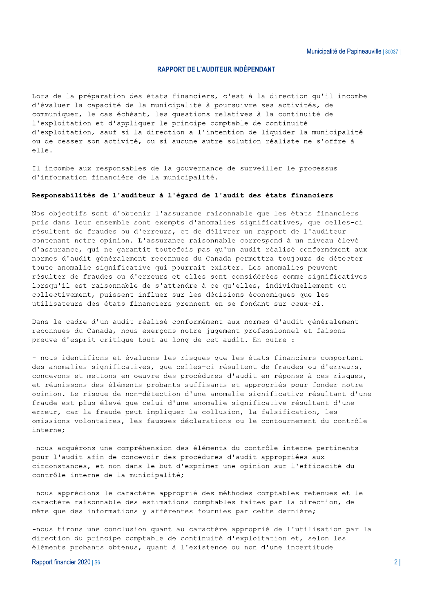#### **RAPPORT DE L'AUDITEUR INDÉPENDANT**

Lors de la préparation des états financiers, c'est à la direction qu'il incombe d'évaluer la capacité de la municipalité à poursuivre ses activités, de communiquer, le cas échéant, les questions relatives à la continuité de l'exploitation et d'appliquer le principe comptable de continuité d'exploitation, sauf si la direction a l'intention de liquider la municipalité ou de cesser son activité, ou si aucune autre solution réaliste ne s'offre à  $e11e$ .

Il incombe aux responsables de la gouvernance de surveiller le processus d'information financière de la municipalité.

#### Responsabilités de l'auditeur à l'égard de l'audit des états financiers

Nos objectifs sont d'obtenir l'assurance raisonnable que les états financiers pris dans leur ensemble sont exempts d'anomalies significatives, que celles-ci résultent de fraudes ou d'erreurs, et de délivrer un rapport de l'auditeur contenant notre opinion. L'assurance raisonnable correspond à un niveau élevé d'assurance, qui ne garantit toutefois pas qu'un audit réalisé conformément aux normes d'audit généralement reconnues du Canada permettra toujours de détecter toute anomalie significative qui pourrait exister. Les anomalies peuvent résulter de fraudes ou d'erreurs et elles sont considérées comme significatives lorsqu'il est raisonnable de s'attendre à ce qu'elles, individuellement ou collectivement, puissent influer sur les décisions économiques que les utilisateurs des états financiers prennent en se fondant sur ceux-ci.

Dans le cadre d'un audit réalisé conformément aux normes d'audit généralement reconnues du Canada, nous exerçons notre jugement professionnel et faisons preuve d'esprit critique tout au long de cet audit. En outre :

- nous identifions et évaluons les risques que les états financiers comportent des anomalies significatives, que celles-ci résultent de fraudes ou d'erreurs, concevons et mettons en oeuvre des procédures d'audit en réponse à ces risques, et réunissons des éléments probants suffisants et appropriés pour fonder notre opinion. Le risque de non-détection d'une anomalie significative résultant d'une fraude est plus élevé que celui d'une anomalie significative résultant d'une erreur, car la fraude peut impliquer la collusion, la falsification, les omissions volontaires, les fausses déclarations ou le contournement du contrôle interne:

-nous acquérons une compréhension des éléments du contrôle interne pertinents pour l'audit afin de concevoir des procédures d'audit appropriées aux circonstances, et non dans le but d'exprimer une opinion sur l'efficacité du contrôle interne de la municipalité;

-nous apprécions le caractère approprié des méthodes comptables retenues et le caractère raisonnable des estimations comptables faites par la direction, de même que des informations y afférentes fournies par cette dernière;

-nous tirons une conclusion quant au caractère approprié de l'utilisation par la direction du principe comptable de continuité d'exploitation et, selon les éléments probants obtenus, quant à l'existence ou non d'une incertitude

Rapport financier 2020 | S6 |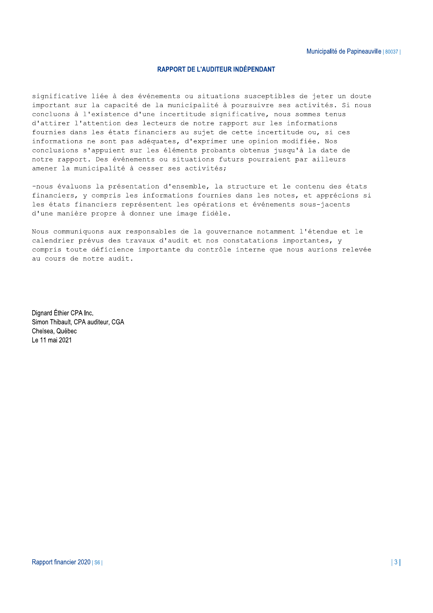#### **RAPPORT DE L'AUDITEUR INDÉPENDANT**

significative liée à des événements ou situations susceptibles de jeter un doute important sur la capacité de la municipalité à poursuivre ses activités. Si nous concluons à l'existence d'une incertitude significative, nous sommes tenus d'attirer l'attention des lecteurs de notre rapport sur les informations fournies dans les états financiers au sujet de cette incertitude ou, si ces informations ne sont pas adéquates, d'exprimer une opinion modifiée. Nos conclusions s'appuient sur les éléments probants obtenus jusqu'à la date de notre rapport. Des événements ou situations futurs pourraient par ailleurs amener la municipalité à cesser ses activités;

-nous évaluons la présentation d'ensemble, la structure et le contenu des états financiers, y compris les informations fournies dans les notes, et apprécions si les états financiers représentent les opérations et événements sous-jacents d'une manière propre à donner une image fidèle.

Nous communiquons aux responsables de la gouvernance notamment l'étendue et le calendrier prévus des travaux d'audit et nos constatations importantes, y compris toute déficience importante du contrôle interne que nous aurions relevée au cours de notre audit.

Dignard Éthier CPA Inc. Simon Thibault, CPA auditeur, CGA Chelsea. Québec Le 11 mai 2021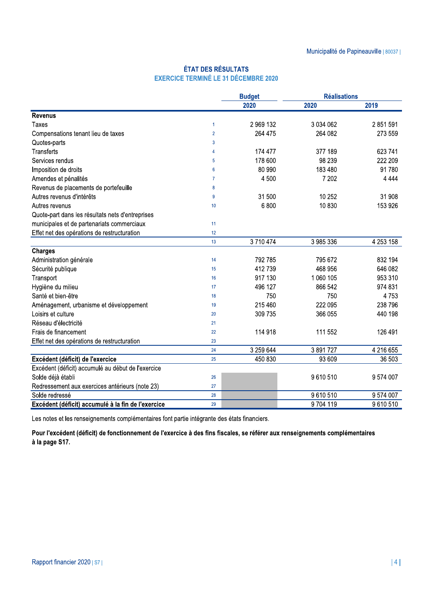### **ÉTAT DES RÉSULTATS EXERCICE TERMINÉ LE 31 DÉCEMBRE 2020**

|                                                    |                | <b>Budget</b> | <b>Réalisations</b> |           |
|----------------------------------------------------|----------------|---------------|---------------------|-----------|
|                                                    |                | 2020          | 2020                | 2019      |
| <b>Revenus</b>                                     |                |               |                     |           |
| Taxes                                              | -1             | 2 969 132     | 3 0 3 4 0 6 2       | 2 851 591 |
| Compensations tenant lieu de taxes                 | $\overline{2}$ | 264 475       | 264 082             | 273 559   |
| Quotes-parts                                       | 3              |               |                     |           |
| <b>Transferts</b>                                  | 4              | 174 477       | 377 189             | 623 741   |
| Services rendus                                    | 5              | 178 600       | 98 239              | 222 209   |
| Imposition de droits                               | 6              | 80 990        | 183 480             | 91780     |
| Amendes et pénalités                               | $\overline{7}$ | 4 500         | 7 202               | 4 4 4 4   |
| Revenus de placements de portefeuille              | 8              |               |                     |           |
| Autres revenus d'intérêts                          | 9              | 31 500        | 10 252              | 31 908    |
| Autres revenus                                     | 10             | 6800          | 10830               | 153 926   |
| Quote-part dans les résultats nets d'entreprises   |                |               |                     |           |
| municipales et de partenariats commerciaux         | 11             |               |                     |           |
| Effet net des opérations de restructuration        | 12             |               |                     |           |
|                                                    | 13             | 3710474       | 3 985 336           | 4 253 158 |
| <b>Charges</b>                                     |                |               |                     |           |
| Administration générale                            | 14             | 792 785       | 795 672             | 832 194   |
| Sécurité publique                                  | 15             | 412739        | 468 956             | 646 082   |
| Transport                                          | 16             | 917 130       | 1 060 105           | 953 310   |
| Hygiène du milieu                                  | 17             | 496 127       | 866 542             | 974 831   |
| Santé et bien-être                                 | 18             | 750           | 750                 | 4753      |
| Aménagement, urbanisme et développement            | 19             | 215 460       | 222 095             | 238 796   |
| Loisirs et culture                                 | 20             | 309 735       | 366 055             | 440 198   |
| Réseau d'électricité                               | 21             |               |                     |           |
| Frais de financement                               | 22             | 114 918       | 111 552             | 126 491   |
| Effet net des opérations de restructuration        | 23             |               |                     |           |
|                                                    | 24             | 3 259 644     | 3891727             | 4 216 655 |
| Excédent (déficit) de l'exercice                   | 25             | 450 830       | 93 609              | 36 503    |
| Excédent (déficit) accumulé au début de l'exercice |                |               |                     |           |
| Solde déjà établi                                  | 26             |               | 9610510             | 9574007   |
| Redressement aux exercices antérieurs (note 23)    | 27             |               |                     |           |
| Solde redressé                                     | 28             |               | 9610510             | 9 574 007 |
| Excédent (déficit) accumulé à la fin de l'exercice | 29             |               | 9704119             | 9610510   |

Les notes et les renseignements complémentaires font partie intégrante des états financiers.

Pour l'excédent (déficit) de fonctionnement de l'exercice à des fins fiscales, se référer aux renseignements complémentaires à la page S17.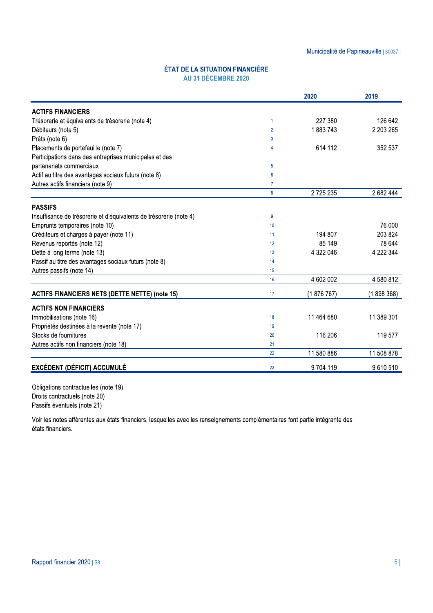### ÉTAT DE LA SITUATION FINANCIÈRE AU 31 DÉCEMBRE 2020

|                                                                    |                 | 2020       | 2019       |
|--------------------------------------------------------------------|-----------------|------------|------------|
| <b>ACTIFS FINANCIERS</b>                                           |                 |            |            |
| Trésorerie et équivalents de trésorerie (note 4)                   | $\mathbf{1}$    | 227 380    | 126 642    |
| Débiteurs (note 5)                                                 | $\overline{2}$  | 1883743    | 2 203 265  |
| Prêts (note 6)                                                     | 3               |            |            |
| Placements de portefeuille (note 7)                                | 4               | 614 112    | 352 537    |
| Participations dans des entreprises municipales et des             |                 |            |            |
| partenariats commerciaux                                           | 5               |            |            |
| Actif au titre des avantages sociaux futurs (note 8)               | $6\phantom{1}6$ |            |            |
| Autres actifs financiers (note 9)                                  | $\overline{7}$  |            |            |
|                                                                    | 8               | 2725235    | 2 682 444  |
| <b>PASSIFS</b>                                                     |                 |            |            |
| Insuffisance de trésorerie et d'équivalents de trésorerie (note 4) | 9               |            |            |
| Emprunts temporaires (note 10)                                     | 10              |            | 76 000     |
| Créditeurs et charges à payer (note 11)                            | 11              | 194 807    | 203 824    |
| Revenus reportés (note 12)                                         | 12              | 85 149     | 78 644     |
| Dette à long terme (note 13)                                       | 13              | 4 322 046  | 4 222 344  |
| Passif au titre des avantages sociaux futurs (note 8)              | 14              |            |            |
| Autres passifs (note 14)                                           | 15              |            |            |
|                                                                    | 16              | 4 602 002  | 4 580 812  |
| <b>ACTIFS FINANCIERS NETS (DETTE NETTE) (note 15)</b>              | 17              | (1876767)  | (1898368)  |
| <b>ACTIFS NON FINANCIERS</b>                                       |                 |            |            |
| Immobilisations (note 16)                                          | 18              | 11 464 680 | 11 389 301 |
| Propriétés destinées à la revente (note 17)                        | 19              |            |            |
| Stocks de fournitures                                              | 20              | 116 206    | 119 577    |
| Autres actifs non financiers (note 18)                             | 21              |            |            |
|                                                                    | 22              | 11 580 886 | 11 508 878 |
| <b>EXCÉDENT (DÉFICIT) ACCUMULÉ</b>                                 | 23              | 9704119    | 9610510    |

Obligations contractuelles (note 19) Droits contractuels (note 20) Passifs éventuels (note 21)

Voir les notes afférentes aux états financiers, lesquelles avec les renseignements complémentaires font partie intégrante des états financiers.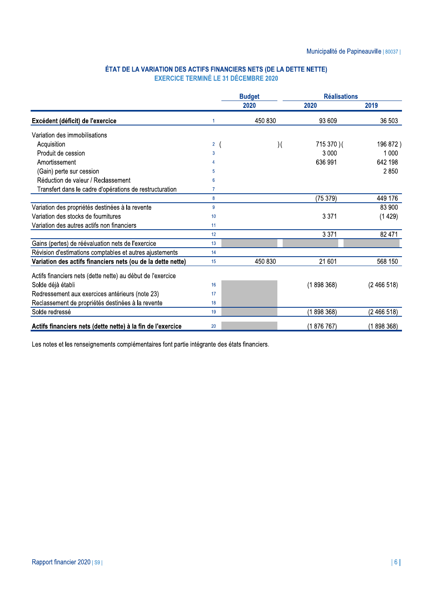## ÉTAT DE LA VARIATION DES ACTIFS FINANCIERS NETS (DE LA DETTE NETTE)<br>EXERCICE TERMINÉ LE 31 DÉCEMBRE 2020

|                                                             |                | <b>Réalisations</b><br><b>Budget</b> |             |           |
|-------------------------------------------------------------|----------------|--------------------------------------|-------------|-----------|
|                                                             |                | 2020                                 | 2020        | 2019      |
| Excédent (déficit) de l'exercice                            | $\overline{1}$ | 450 830                              | 93 609      | 36 503    |
| Variation des immobilisations                               |                |                                      |             |           |
| Acquisition                                                 | 2 <sup>1</sup> | $\mathcal{)}($                       | 715 370 ) ( | 196 872)  |
| Produit de cession                                          | 3              |                                      | 3 0 0 0     | 1 0 0 0   |
| Amortissement                                               | 4              |                                      | 636 991     | 642 198   |
| (Gain) perte sur cession                                    | 5              |                                      |             | 2850      |
| Réduction de valeur / Reclassement                          | 6              |                                      |             |           |
| Transfert dans le cadre d'opérations de restructuration     | 7              |                                      |             |           |
|                                                             | 8              |                                      | (75379)     | 449 176   |
| Variation des propriétés destinées à la revente             | 9              |                                      |             | 83 900    |
| Variation des stocks de fournitures                         | 10             |                                      | 3 3 7 1     | (1429)    |
| Variation des autres actifs non financiers                  | 11             |                                      |             |           |
|                                                             | 12             |                                      | 3 3 7 1     | 82 471    |
| Gains (pertes) de réévaluation nets de l'exercice           | 13             |                                      |             |           |
| Révision d'estimations comptables et autres ajustements     | 14             |                                      |             |           |
| Variation des actifs financiers nets (ou de la dette nette) | 15             | 450 830                              | 21 601      | 568 150   |
| Actifs financiers nets (dette nette) au début de l'exercice |                |                                      |             |           |
| Solde déjà établi                                           | 16             |                                      | (1898368)   | (2466518) |
| Redressement aux exercices antérieurs (note 23)             | 17             |                                      |             |           |
| Reclassement de propriétés destinées à la revente           | 18             |                                      |             |           |
| Solde redressé                                              | 19             |                                      | (1898368)   | (2466518) |
| Actifs financiers nets (dette nette) à la fin de l'exercice | 20             |                                      | (1876767)   | (1898368) |

Les notes et les renseignements complémentaires font partie intégrante des états financiers.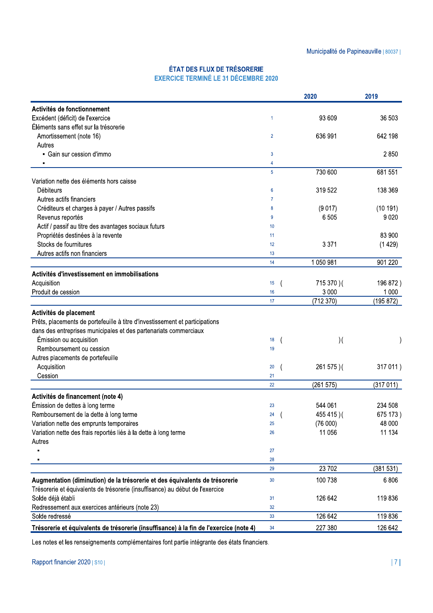### ÉTAT DES FLUX DE TRÉSORERIE EXERCICE TERMINÉ LE 31 DÉCEMBRE 2020

|                                                                                        |                                | 2020                   | 2019                 |
|----------------------------------------------------------------------------------------|--------------------------------|------------------------|----------------------|
| Activités de fonctionnement                                                            |                                |                        |                      |
| Excédent (déficit) de l'exercice                                                       | 1                              | 93 609                 | 36 503               |
| Éléments sans effet sur la trésorerie                                                  |                                |                        |                      |
| Amortissement (note 16)                                                                | $\overline{2}$                 | 636 991                | 642 198              |
| Autres                                                                                 |                                |                        |                      |
| • Gain sur cession d'immo                                                              | 3                              |                        | 2850                 |
|                                                                                        | 4                              |                        |                      |
|                                                                                        | 5                              | 730 600                | 681 551              |
| Variation nette des éléments hors caisse                                               |                                |                        |                      |
| <b>Débiteurs</b>                                                                       | 6                              | 319 522                | 138 369              |
| Autres actifs financiers                                                               | 7                              |                        |                      |
| Créditeurs et charges à payer / Autres passifs                                         | 8                              | (9017)                 | (10191)              |
| Revenus reportés                                                                       | 9                              | 6505                   | 9 0 2 0              |
| Actif / passif au titre des avantages sociaux futurs                                   | 10                             |                        |                      |
| Propriétés destinées à la revente                                                      | 11                             |                        | 83 900               |
| Stocks de fournitures                                                                  | 12                             | 3 3 7 1                | (1429)               |
| Autres actifs non financiers                                                           | 13                             |                        |                      |
|                                                                                        | 14                             | 1 050 981              | 901 220              |
| Activités d'investissement en immobilisations                                          |                                |                        |                      |
|                                                                                        |                                |                        |                      |
| Acquisition                                                                            | 15                             | 715 370 ) (<br>3 0 0 0 | 196 872)             |
| Produit de cession                                                                     | 16<br>17                       | (712370)               | 1 0 0 0<br>(195 872) |
|                                                                                        |                                |                        |                      |
| Activités de placement                                                                 |                                |                        |                      |
| Prêts, placements de portefeuille à titre d'investissement et participations           |                                |                        |                      |
| dans des entreprises municipales et des partenariats commerciaux                       |                                |                        |                      |
| Émission ou acquisition                                                                | 18<br>$\overline{\mathcal{L}}$ | $)$ (                  |                      |
| Remboursement ou cession                                                               | 19                             |                        |                      |
| Autres placements de portefeuille                                                      |                                |                        |                      |
| Acquisition                                                                            | 20                             | 261 575 ) (            | 317 011)             |
| Cession                                                                                | 21                             |                        |                      |
|                                                                                        | 22                             | (261575)               | (317011)             |
| Activités de financement (note 4)                                                      |                                |                        |                      |
| Émission de dettes à long terme                                                        | 23                             | 544 061                | 234 508              |
| Remboursement de la dette à long terme                                                 | 24                             | 455 415)(              | 675 173)             |
| Variation nette des emprunts temporaires                                               | 25                             | (76000)                | 48 000               |
| Variation nette des frais reportés liés à la dette à long terme                        | 26                             | 11 056                 | 11 134               |
| Autres                                                                                 |                                |                        |                      |
|                                                                                        | 27                             |                        |                      |
|                                                                                        | 28                             |                        |                      |
|                                                                                        | 29                             | 23 702                 | (381531)             |
| Augmentation (diminution) de la trésorerie et des équivalents de trésorerie            | 30                             | 100 738                | 6806                 |
| Trésorerie et équivalents de trésorerie (insuffisance) au début de l'exercice          |                                |                        |                      |
| Solde déjà établi                                                                      | 31                             | 126 642                | 119836               |
| Redressement aux exercices antérieurs (note 23)                                        | 32                             |                        |                      |
| Solde redressé                                                                         | 33                             | 126 642                | 119836               |
| Trésorerie et équivalents de trésorerie (insuffisance) à la fin de l'exercice (note 4) | 34                             | 227 380                | 126 642              |

Les notes et les renseignements complémentaires font partie intégrante des états financiers.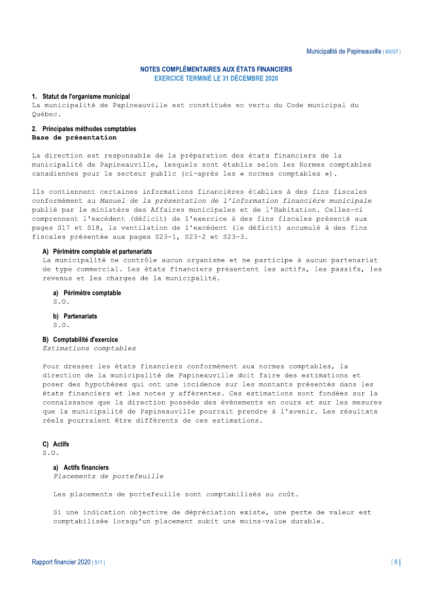### NOTES COMPLÉMENTAIRES AUX ÉTATS FINANCIERS

Municipalité de Papin<br>
Municipalité de Papin<br>
EXERCICE TERMINÉ LE 31 DÉCEMBRE 2020<br>
1. Statut de l'organisme municipal<br>
La municipalité de Papineauville est constituée en vertu du Code municipal du<br>
2. Principales méthodes

La direction est responsable de la préparation des états financiers de la municipalité de Papineauville, lesquels sont établis selon les Normes comptables canadiennes pour le secteur public (ci-après les « normes comptables »).

Ils contiennent certaines informations financières établies à des fins fiscales conformément au Manuel de la présentation de l'information financière municipale publié par le ministère des Affaires municipales et de l'Habitation. Celles-ci comprennent l'excédent (déficit) de l'exercice à des fins fiscales présenté aux pages S17 et S18, la ventilation de l'excédent (le déficit) accumulé à des fins fiscales présentée aux pages S23-1, S23-2 et S23-3.

#### A) Périmètre comptable et partenariats

La municipalité ne contrôle aucun organisme et ne participe à aucun partenariat de type commercial. Les états financiers présentent les actifs, les passifs, les revenus et les charges de la municipalité.

#### a) Périmètre comptable

S.O.

### b) Partenariats<br> $S, O$ .

evenus et les charges de la municipalité.<br> **a) Périmètre comptable**<br> **a).**<br> **a) Périmètre comptable**<br> **5.0.**<br> **b) Partenariats**<br> **a**).<br> **b**) **Partenariats**<br> **a**).<br> **b**) **Partenariats**<br> **b**) **Comptablicé d'exercice**<br> **Extim** réels pourraient être différents de ces estimations.

### C) Actifs<br> $S_2 \Omega_1$

#### a) Actifs financiers

Placements de portefeuille

Les placements de portefeuille sont comptabilisés au coût.

Si une indication objective de dépréciation existe, une perte de valeur est comptabilisée lorsqu'un placement subit une moins-value durable.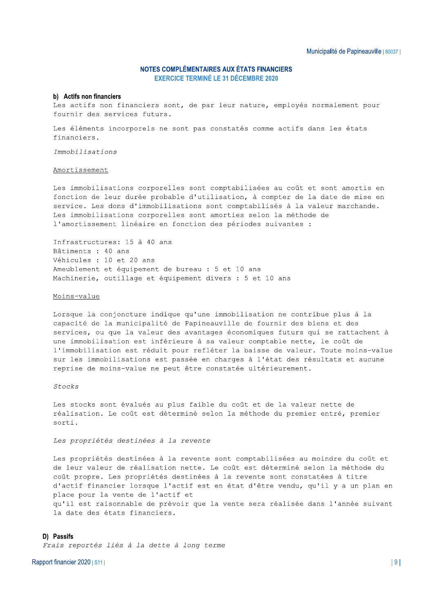#### b) Actifs non financiers

Les actifs non financiers sont, de par leur nature, employés normalement pour fournir des services futurs.

Les éléments incorporels ne sont pas constatés comme actifs dans les états financiers.

Immobilisations

#### Amortissement

Les immobilisations corporelles sont comptabilisées au coût et sont amortis en fonction de leur durée probable d'utilisation, à compter de la date de mise en service. Les dons d'immobilisations sont comptabilisés à la valeur marchande. Les immobilisations corporelles sont amorties selon la méthode de l'amortissement linéaire en fonction des périodes suivantes :

Infrastructures: 15 à 40 ans Bâtiments : 40 ans Véhicules : 10 et 20 ans Ameublement et équipement de bureau : 5 et 10 ans Machinerie, outillage et équipement divers : 5 et 10 ans

#### Moins-value

Lorsque la conjoncture indique qu'une immobilisation ne contribue plus à la capacité de la municipalité de Papineauville de fournir des biens et des services, ou que la valeur des avantages économiques futurs qui se rattachent à une immobilisation est inférieure à sa valeur comptable nette, le coût de l'immobilisation est réduit pour refléter la baisse de valeur. Toute moins-value sur les immobilisations est passée en charges à l'état des résultats et aucune reprise de moins-value ne peut être constatée ultérieurement.

#### $Stocks$

Les stocks sont évalués au plus faible du coût et de la valeur nette de réalisation. Le coût est déterminé selon la méthode du premier entré, premier sorti

Les propriétés destinées à la revente

Les propriétés destinées à la revente sont comptabilisées au moindre du coût et de leur valeur de réalisation nette. Le coût est déterminé selon la méthode du coût propre. Les propriétés destinées à la revente sont constatées à titre d'actif financier lorsque l'actif est en état d'être vendu, qu'il y a un plan en place pour la vente de l'actif et qu'il est raisonnable de prévoir que la vente sera réalisée dans l'année suivant la date des états financiers.

#### D) Passifs

Frais reportés liés à la dette à long terme

Rapport financier 2020 | S11 |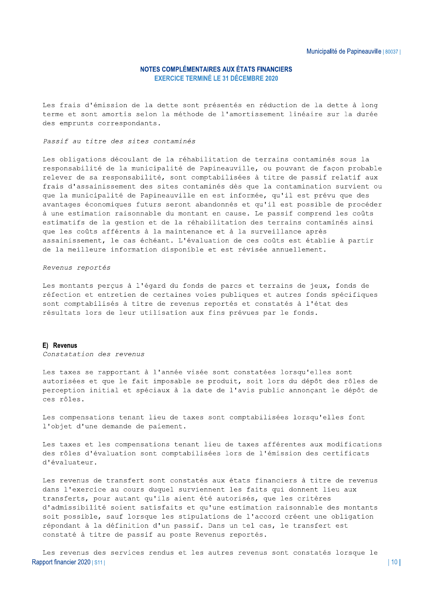Les frais d'émission de la dette sont présentés en réduction de la dette à long terme et sont amortis selon la méthode de l'amortissement linéaire sur la durée des emprunts correspondants.

Passif au titre des sites contaminés

Les obligations découlant de la réhabilitation de terrains contaminés sous la responsabilité de la municipalité de Papineauville, ou pouvant de façon probable relever de sa responsabilité, sont comptabilisées à titre de passif relatif aux frais d'assainissement des sites contaminés dès que la contamination survient ou que la municipalité de Papineauville en est informée, qu'il est prévu que des avantages économiques futurs seront abandonnés et qu'il est possible de procéder à une estimation raisonnable du montant en cause. Le passif comprend les coûts estimatifs de la gestion et de la réhabilitation des terrains contaminés ainsi que les coûts afférents à la maintenance et à la surveillance après assainissement, le cas échéant. L'évaluation de ces coûts est établie à partir de la meilleure information disponible et est révisée annuellement.

Revenus reportés

Les montants perçus à l'égard du fonds de parcs et terrains de jeux, fonds de réfection et entretien de certaines voies publiques et autres fonds spécifiques sont comptabilisés à titre de revenus reportés et constatés à l'état des résultats lors de leur utilisation aux fins prévues par le fonds.

#### E) Revenus

Constatation des revenus

Les taxes se rapportant à l'année visée sont constatées lorsqu'elles sont autorisées et que le fait imposable se produit, soit lors du dépôt des rôles de perception initial et spéciaux à la date de l'avis public annonçant le dépôt de ces rôles.

Les compensations tenant lieu de taxes sont comptabilisées lorsqu'elles font l'objet d'une demande de paiement.

Les taxes et les compensations tenant lieu de taxes afférentes aux modifications des rôles d'évaluation sont comptabilisées lors de l'émission des certificats d'évaluateur.

Les revenus de transfert sont constatés aux états financiers à titre de revenus dans l'exercice au cours duquel surviennent les faits qui donnent lieu aux transferts, pour autant qu'ils aient été autorisés, que les critères d'admissibilité soient satisfaits et qu'une estimation raisonnable des montants soit possible, sauf lorsque les stipulations de l'accord créent une obligation répondant à la définition d'un passif. Dans un tel cas, le transfert est constaté à titre de passif au poste Revenus reportés.

Les revenus des services rendus et les autres revenus sont constatés lorsque le Rapport financier 2020 | S11 |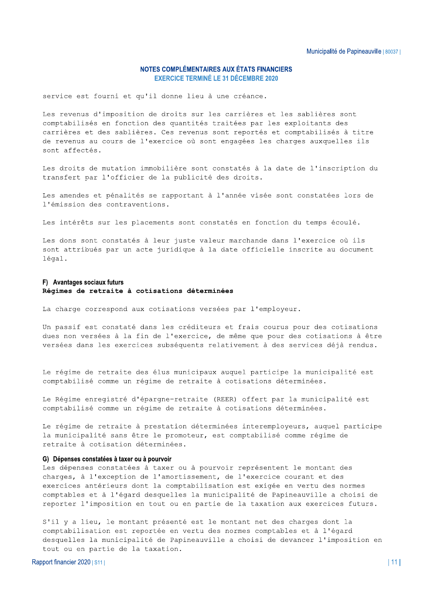service est fourni et qu'il donne lieu à une créance.

Les revenus d'imposition de droits sur les carrières et les sablières sont comptabilisés en fonction des quantités traitées par les exploitants des carrières et des sablières. Ces revenus sont reportés et comptabilisés à titre de revenus au cours de l'exercice où sont engagées les charges auxquelles ils sont affectés

Les droits de mutation immobilière sont constatés à la date de l'inscription du transfert par l'officier de la publicité des droits.

Les amendes et pénalités se rapportant à l'année visée sont constatées lors de l'émission des contraventions.

Les intérêts sur les placements sont constatés en fonction du temps écoulé.

Les dons sont constatés à leur juste valeur marchande dans l'exercice où ils sont attribués par un acte juridique à la date officielle inscrite au document légal.

#### F) Avantages sociaux futurs Régimes de retraite à cotisations déterminées

La charge correspond aux cotisations versées par l'employeur.

Un passif est constaté dans les créditeurs et frais courus pour des cotisations dues non versées à la fin de l'exercice, de même que pour des cotisations à être versées dans les exercices subséquents relativement à des services déjà rendus.

Le régime de retraite des élus municipaux auquel participe la municipalité est comptabilisé comme un régime de retraite à cotisations déterminées.

Le Régime enregistré d'épargne-retraite (REER) offert par la municipalité est comptabilisé comme un régime de retraite à cotisations déterminées.

Le régime de retraite à prestation déterminées interemployeurs, auquel participe la municipalité sans être le promoteur, est comptabilisé comme régime de retraite à cotisation déterminées.

#### G) Dépenses constatées à taxer ou à pourvoir

Les dépenses constatées à taxer ou à pourvoir représentent le montant des charges, à l'exception de l'amortissement, de l'exercice courant et des exercices antérieurs dont la comptabilisation est exigée en vertu des normes comptables et à l'égard desquelles la municipalité de Papineauville a choisi de reporter l'imposition en tout ou en partie de la taxation aux exercices futurs.

S'il y a lieu, le montant présenté est le montant net des charges dont la comptabilisation est reportée en vertu des normes comptables et à l'égard desquelles la municipalité de Papineauville a choisi de devancer l'imposition en tout ou en partie de la taxation.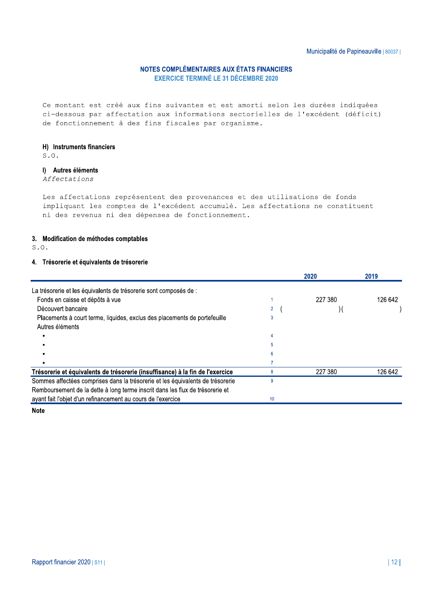Ce montant est créé aux fins suivantes et est amorti selon les durées indiquées ci-dessous par affectation aux informations sectorielles de l'excédent (déficit) de fonctionnement à des fins fiscales par organisme.

#### H) Instruments financiers

 $S.O.$ 

#### I) Autres éléments

Affectations

Les affectations représentent des provenances et des utilisations de fonds impliquant les comptes de l'excédent accumulé. Les affectations ne constituent ni des revenus ni des dépenses de fonctionnement.

#### 3. Modification de méthodes comptables

 $S.0.$ 

#### 4. Trésorerie et équivalents de trésorerie

|                                                                                |    | 2020    | 2019    |
|--------------------------------------------------------------------------------|----|---------|---------|
| La trésorerie et les équivalents de trésorerie sont composés de :              |    |         |         |
| Fonds en caisse et dépôts à vue                                                |    | 227 380 | 126 642 |
| Découvert bancaire                                                             |    |         |         |
| Placements à court terme, liquides, exclus des placements de portefeuille      |    |         |         |
| Autres éléments                                                                |    |         |         |
|                                                                                |    |         |         |
|                                                                                |    |         |         |
|                                                                                |    |         |         |
|                                                                                |    |         |         |
| Trésorerie et équivalents de trésorerie (insuffisance) à la fin de l'exercice  |    | 227 380 | 126 642 |
| Sommes affectées comprises dans la trésorerie et les équivalents de trésorerie | g  |         |         |
| Remboursement de la dette à long terme inscrit dans les flux de trésorerie et  |    |         |         |
| ayant fait l'objet d'un refinancement au cours de l'exercice                   | 10 |         |         |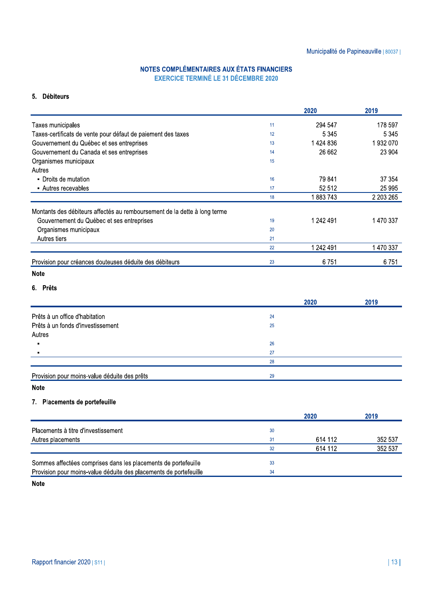#### 5. Débiteurs

|                                                                           |    | 2020      | 2019      |
|---------------------------------------------------------------------------|----|-----------|-----------|
| Taxes municipales                                                         | 11 | 294 547   | 178 597   |
| Taxes-certificats de vente pour défaut de paiement des taxes              | 12 | 5 3 4 5   | 5 3 4 5   |
| Gouvernement du Québec et ses entreprises                                 | 13 | 1 424 836 | 1932070   |
| Gouvernement du Canada et ses entreprises                                 | 14 | 26 662    | 23 904    |
| Organismes municipaux                                                     | 15 |           |           |
| Autres                                                                    |    |           |           |
| - Droits de mutation                                                      | 16 | 79 841    | 37 354    |
| • Autres recevables                                                       | 17 | 52 512    | 25 995    |
|                                                                           | 18 | 1883743   | 2 203 265 |
| Montants des débiteurs affectés au remboursement de la dette à long terme |    |           |           |
| Gouvernement du Québec et ses entreprises                                 | 19 | 1 242 491 | 1 470 337 |
| Organismes municipaux                                                     | 20 |           |           |
| Autres tiers                                                              | 21 |           |           |
|                                                                           | 22 | 1 242 491 | 1 470 337 |
| Provision pour créances douteuses déduite des débiteurs                   | 23 | 6751      | 6751      |
| <b>Note</b>                                                               |    |           |           |
| 6. Prêts                                                                  |    |           |           |
|                                                                           |    | 2020      | 2019      |
| Prêts à un office d'habitation                                            | 24 |           |           |
| Prêts à un fonds d'investissement                                         | 25 |           |           |
| Autres                                                                    |    |           |           |
| Ē.                                                                        | 26 |           |           |
|                                                                           | 27 |           |           |
|                                                                           | 28 |           |           |
| Provision pour moins-value déduite des prêts                              | 29 |           |           |
| <b>Note</b>                                                               |    |           |           |
| 7. Placements de portefeuille                                             |    |           |           |
|                                                                           |    |           |           |
|                                                                           |    | 2020      | 2019      |
| Placements à titre d'investissement                                       | 30 |           |           |
| Autres placements                                                         | 31 | 614 112   | 352 537   |
|                                                                           | 32 | 614 112   | 352 537   |
| Sommes affectées comprises dans les placements de portefeuille            | 33 |           |           |
|                                                                           |    |           |           |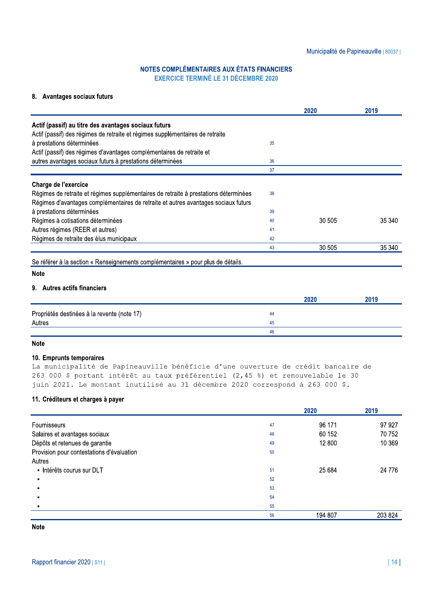## NOTES COMPLÉMENTAIRES AUX ÉTATS FINANCIERS

|                                                                                           |    |        | Municipalité de Papineauville   80037 |
|-------------------------------------------------------------------------------------------|----|--------|---------------------------------------|
| NOTES COMPLÉMENTAIRES AUX ÉTATS FINANCIERS<br><b>EXERCICE TERMINÉ LE 31 DÉCEMBRE 2020</b> |    |        |                                       |
| 8. Avantages sociaux futurs                                                               |    |        |                                       |
|                                                                                           |    | 2020   | 2019                                  |
| Actif (passif) au titre des avantages sociaux futurs                                      |    |        |                                       |
| Actif (passif) des régimes de retraite et régimes supplémentaires de retraite             |    |        |                                       |
| à prestations déterminées                                                                 | 35 |        |                                       |
| Actif (passif) des régimes d'avantages complémentaires de retraite et                     |    |        |                                       |
| autres avantages sociaux futurs à prestations déterminées                                 | 36 |        |                                       |
|                                                                                           | 37 |        |                                       |
| Charge de l'exercice                                                                      |    |        |                                       |
| Régimes de retraite et régimes supplémentaires de retraite à prestations déterminées      | 38 |        |                                       |
| Régimes d'avantages complémentaires de retraite et autres avantages sociaux futurs        |    |        |                                       |
| à prestations déterminées                                                                 | 39 |        |                                       |
| Régimes à cotisations déterminées                                                         | 40 | 30 505 | 35 340                                |
| Autres régimes (REER et autres)                                                           | 41 |        |                                       |
| Régimes de retraite des élus municipaux                                                   | 42 |        |                                       |
|                                                                                           | 43 | 30 505 | 35 340                                |

Se referer a la section « Renseignements complementaires » pour plus de détails.

#### Note

#### 9. Autres actifs financiers

|                                             | 2020 | 2019 |
|---------------------------------------------|------|------|
| Propriétés destinées à la revente (note 17) | 44   |      |
| Autres                                      | 45   |      |
|                                             | -46  |      |

#### Note

#### 10. Emprunts temporaires

La municipalité de Papineauville bénéficie d'une ouverture de crédit bancaire de 263 000 \$ portant intérêt au taux préférentiel  $(2,45$  %) et renouvelable le 30 juin 2021. Le montant inutilisé au 31 décembre 2020 correspond à 263 000 \$.

#### 11. Créditeurs et charges à payer

|                                           |    | 2020    | 2019     |
|-------------------------------------------|----|---------|----------|
| Fournisseurs                              | 47 | 96 171  | 97 927   |
| Salaires et avantages sociaux             | 48 | 60 152  | 70 752   |
| Dépôts et retenues de garantie            | 49 | 12 800  | 10 369   |
| Provision pour contestations d'évaluation | 50 |         |          |
| Autres                                    |    |         |          |
| - Intérêts courus sur DLT                 | 51 | 25 684  | 24 7 7 6 |
|                                           | 52 |         |          |
|                                           | 53 |         |          |
|                                           | 54 |         |          |
|                                           | 55 |         |          |
|                                           | 56 | 194 807 | 203 824  |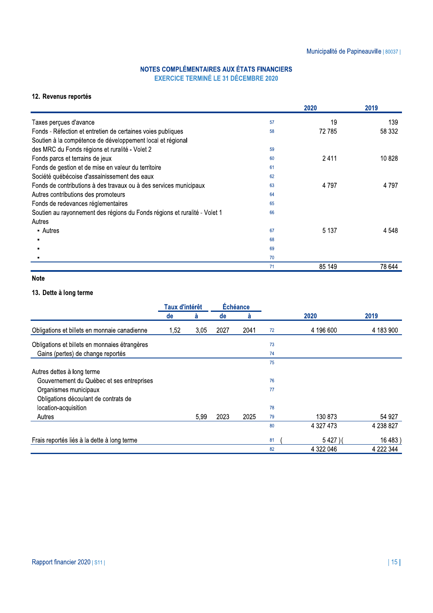|                                                                                           |    |         | Municipalité de Papineauville   80037 |
|-------------------------------------------------------------------------------------------|----|---------|---------------------------------------|
| NOTES COMPLÉMENTAIRES AUX ÉTATS FINANCIERS<br><b>EXERCICE TERMINÉ LE 31 DÉCEMBRE 2020</b> |    |         |                                       |
| 12. Revenus reportés                                                                      |    |         |                                       |
|                                                                                           |    | 2020    | 2019                                  |
| Taxes perçues d'avance                                                                    | 57 | 19      | 139                                   |
| Fonds - Réfection et entretien de certaines voies publiques                               | 58 | 72785   | 58 332                                |
| Soutien à la compétence de développement local et régional                                |    |         |                                       |
| des MRC du Fonds régions et ruralité - Volet 2                                            | 59 |         |                                       |
| Fonds parcs et terrains de jeux                                                           | 60 | 2411    | 10828                                 |
| Fonds de gestion et de mise en valeur du territoire                                       | 61 |         |                                       |
| Société québécoise d'assainissement des eaux                                              | 62 |         |                                       |
| Fonds de contributions à des travaux ou à des services municipaux                         | 63 | 4 7 9 7 | 4 7 9 7                               |
| Autres contributions des promoteurs                                                       | 64 |         |                                       |
| Fonds de redevances réglementaires                                                        | 65 |         |                                       |
| Soutien au rayonnement des régions du Fonds régions et ruralité - Volet 1                 | 66 |         |                                       |
| Autres                                                                                    |    |         |                                       |
| • Autres                                                                                  | 67 | 5 1 3 7 | 4 548                                 |
|                                                                                           | 68 |         |                                       |
|                                                                                           | 69 |         |                                       |
|                                                                                           | 70 |         |                                       |
|                                                                                           | 71 | 85 149  | 78 644                                |

### Note

### 13. Dette à long terme

|                                               | Échéance<br><b>Taux d'intérêt</b> |      |      |      |    |           |           |
|-----------------------------------------------|-----------------------------------|------|------|------|----|-----------|-----------|
|                                               | de                                | à    | de   | å    |    | 2020      | 2019      |
| Obligations et billets en monnaie canadienne  | 1,52                              | 3,05 | 2027 | 2041 | 72 | 4 196 600 | 4 183 900 |
| Obligations et billets en monnaies étrangères |                                   |      |      |      | 73 |           |           |
| Gains (pertes) de change reportés             |                                   |      |      |      | 74 |           |           |
|                                               |                                   |      |      |      | 75 |           |           |
| Autres dettes à long terme                    |                                   |      |      |      |    |           |           |
| Gouvernement du Québec et ses entreprises     |                                   |      |      |      | 76 |           |           |
| Organismes municipaux                         |                                   |      |      |      | 77 |           |           |
| Obligations découlant de contrats de          |                                   |      |      |      |    |           |           |
| location-acquisition                          |                                   |      |      |      | 78 |           |           |
| Autres                                        |                                   | 5,99 | 2023 | 2025 | 79 | 130 873   | 54 927    |
|                                               |                                   |      |      |      | 80 | 4 327 473 | 4 238 827 |
| Frais reportés liés à la dette à long terme   |                                   |      |      |      | 81 | 5427)     | 16 483    |
|                                               |                                   |      |      |      | 82 | 4 322 046 | 4 222 344 |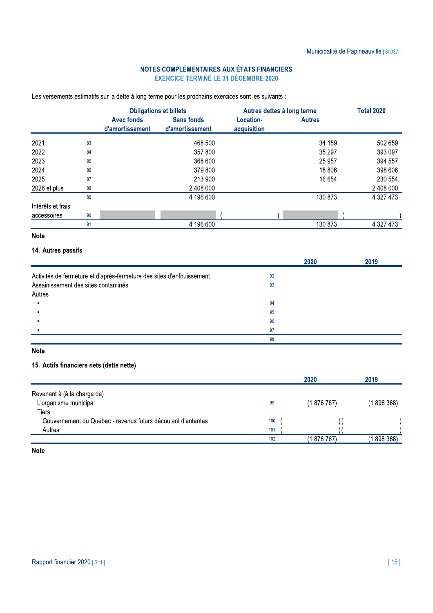Les versements estimatifs sur la dette à long terme pour les prochains exercices sont les suivants :

|                   |    |                                      | <b>Obligations et billets</b>        |                          | Autres dettes à long terme | <b>Total 2020</b> |  |
|-------------------|----|--------------------------------------|--------------------------------------|--------------------------|----------------------------|-------------------|--|
|                   |    | <b>Avec fonds</b><br>d'amortissement | <b>Sans fonds</b><br>d'amortissement | Location-<br>acquisition | <b>Autres</b>              |                   |  |
| 2021              | 83 |                                      | 468 500                              |                          | 34 159                     | 502 659           |  |
| 2022              | 84 |                                      | 357 800                              |                          | 35 297                     | 393 097           |  |
| 2023              | 85 |                                      | 368 600                              |                          | 25 957                     | 394 557           |  |
| 2024              | 86 |                                      | 379 800                              |                          | 18 806                     | 398 606           |  |
| 2025              | 87 |                                      | 213 900                              |                          | 16 654                     | 230 554           |  |
| 2026 et plus      | 88 |                                      | 2 408 000                            |                          |                            | 2 408 000         |  |
|                   | 89 |                                      | 4 196 600                            |                          | 130 873                    | 4 327 473         |  |
| Intérêts et frais |    |                                      |                                      |                          |                            |                   |  |
| accessoires       | 90 |                                      |                                      |                          |                            |                   |  |
|                   | 91 |                                      | 4 196 600                            |                          | 130 873                    | 4 3 2 7 4 7 3     |  |

#### **Note**

#### 14. Autres passifs

|                                                                       | 2020 | 2019 |
|-----------------------------------------------------------------------|------|------|
| Activités de fermeture et d'après-fermeture des sites d'enfouissement | 92   |      |
| Assainissement des sites contaminés                                   | 93   |      |
| Autres                                                                |      |      |
|                                                                       | 94   |      |
|                                                                       | 95   |      |
|                                                                       | 96   |      |
|                                                                       | 97   |      |
|                                                                       | 98   |      |

### **Note**

#### 15. Actifs financiers nets (dette nette)

|                                                              |     | 2020        | 2019        |
|--------------------------------------------------------------|-----|-------------|-------------|
| Revenant à (à la charge de)                                  |     |             |             |
| L'organisme municipal                                        | 99  | (187676)    | (1898368)   |
| Tiers                                                        |     |             |             |
| Gouvernement du Québec - revenus futurs découlant d'ententes | 100 |             |             |
| Autres                                                       | 101 |             |             |
|                                                              | 102 | (1 876 767) | (1 898 368) |
|                                                              |     |             |             |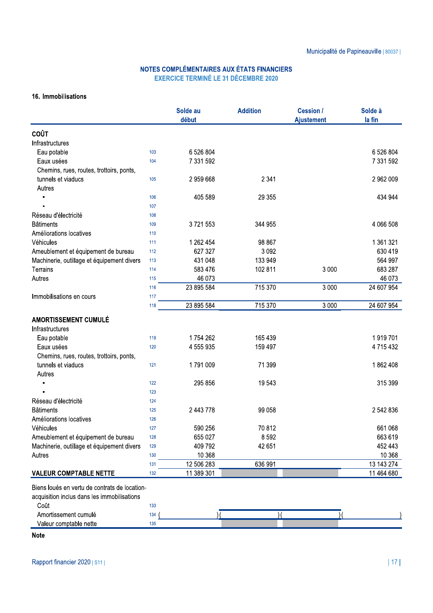#### 16. Immobilisations

|                                                                                                      |     | Solde au<br>début | <b>Addition</b> | <b>Cession /</b><br><b>Ajustement</b> | Solde à<br>la fin |
|------------------------------------------------------------------------------------------------------|-----|-------------------|-----------------|---------------------------------------|-------------------|
| <b>COÛT</b>                                                                                          |     |                   |                 |                                       |                   |
| Infrastructures                                                                                      |     |                   |                 |                                       |                   |
| Eau potable                                                                                          | 103 | 6 526 804         |                 |                                       | 6 526 804         |
| Eaux usées                                                                                           | 104 | 7 331 592         |                 |                                       | 7 331 592         |
| Chemins, rues, routes, trottoirs, ponts,                                                             |     |                   |                 |                                       |                   |
| tunnels et viaducs                                                                                   | 105 | 2 959 668         | 2 3 4 1         |                                       | 2 962 009         |
| Autres                                                                                               |     |                   |                 |                                       |                   |
|                                                                                                      | 106 | 405 589           | 29 3 5 5        |                                       | 434 944           |
|                                                                                                      | 107 |                   |                 |                                       |                   |
| Réseau d'électricité                                                                                 | 108 |                   |                 |                                       |                   |
| <b>Bâtiments</b>                                                                                     | 109 | 3721553           | 344 955         |                                       | 4 066 508         |
| Améliorations locatives                                                                              | 110 |                   |                 |                                       |                   |
| Véhicules                                                                                            | 111 | 1 262 454         | 98 867          |                                       | 1 361 321         |
| Ameublement et équipement de bureau                                                                  | 112 | 627 327           | 3 0 9 2         |                                       | 630 419           |
| Machinerie, outillage et équipement divers                                                           | 113 | 431 048           | 133 949         |                                       | 564 997           |
| Terrains                                                                                             | 114 | 583 476           | 102 811         | 3 0 0 0                               | 683 287           |
| Autres                                                                                               | 115 | 46 073            |                 |                                       | 46 073            |
|                                                                                                      | 116 | 23 895 584        | 715 370         | 3 0 0 0                               | 24 607 954        |
| Immobilisations en cours                                                                             | 117 |                   |                 |                                       |                   |
|                                                                                                      | 118 | 23 895 584        | 715 370         | 3 0 0 0                               | 24 607 954        |
| <b>AMORTISSEMENT CUMULÉ</b>                                                                          |     |                   |                 |                                       |                   |
| Infrastructures                                                                                      |     |                   |                 |                                       |                   |
| Eau potable                                                                                          | 119 | 1754 262          | 165 439         |                                       | 1919701           |
| Eaux usées                                                                                           | 120 | 4 555 935         | 159 497         |                                       | 4715432           |
| Chemins, rues, routes, trottoirs, ponts,                                                             |     |                   |                 |                                       |                   |
| tunnels et viaducs                                                                                   | 121 | 1791009           | 71 399          |                                       | 1862408           |
| Autres                                                                                               |     |                   |                 |                                       |                   |
| ٠                                                                                                    | 122 | 295 856           | 19543           |                                       | 315 399           |
|                                                                                                      | 123 |                   |                 |                                       |                   |
| Réseau d'électricité                                                                                 | 124 |                   |                 |                                       |                   |
| <b>Bâtiments</b>                                                                                     | 125 | 2 443 778         | 99 058          |                                       | 2 542 836         |
| Améliorations locatives                                                                              | 126 |                   |                 |                                       |                   |
| Véhicules                                                                                            | 127 | 590 256           | 70812           |                                       | 661 068           |
| Ameublement et équipement de bureau                                                                  | 128 | 655 027           | 8592            |                                       | 663 619           |
| Machinerie, outillage et équipement divers                                                           | 129 | 409 792           | 42 651          |                                       | 452 443           |
| Autres                                                                                               | 130 | 10 368            |                 |                                       | 10 368            |
|                                                                                                      | 131 | 12 506 283        | 636 991         |                                       | 13 143 274        |
| <b>VALEUR COMPTABLE NETTE</b>                                                                        | 132 | 11 389 301        |                 |                                       | 11 464 680        |
| Biens loués en vertu de contrats de location-<br>acquisition inclus dans les immobilisations<br>Coût | 133 |                   |                 |                                       |                   |
| Amortissement cumulé                                                                                 | 134 |                   |                 |                                       |                   |
| Valeur comptable nette                                                                               | 135 |                   |                 |                                       |                   |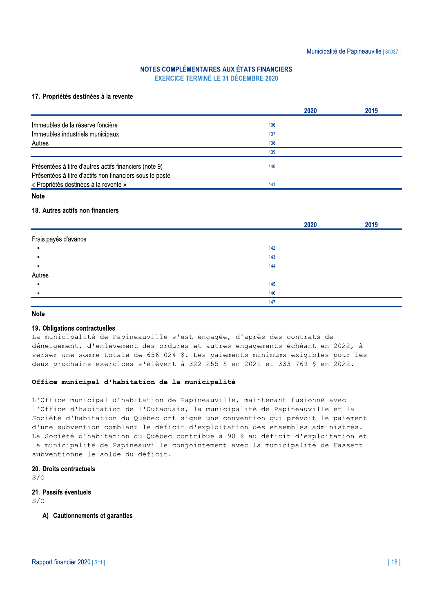## NOTES COMPLÉMENTAIRES AUX ÉTATS FINANCIERS

|                                                                                                                    | NOTES COMPLÉMENTAIRES AUX ÉTATS FINANCIERS<br><b>EXERCICE TERMINÉ LE 31 DÉCEMBRE 2020</b> |      | Municipalité de Papineauville   80037 |
|--------------------------------------------------------------------------------------------------------------------|-------------------------------------------------------------------------------------------|------|---------------------------------------|
| 17. Propriétés destinées à la revente                                                                              |                                                                                           | 2020 | 2019                                  |
| Immeubles de la réserve foncière                                                                                   | 136                                                                                       |      |                                       |
|                                                                                                                    | 137                                                                                       |      |                                       |
| Immeubles industriels municipaux<br>Autres                                                                         | 138                                                                                       |      |                                       |
|                                                                                                                    | 139                                                                                       |      |                                       |
| Présentées à titre d'autres actifs financiers (note 9)<br>Présentées à titre d'actifs non financiers sous le poste | 140                                                                                       |      |                                       |
| « Propriétés destinées à la revente »                                                                              | 141                                                                                       |      |                                       |

#### Note

#### 18. Autres actifs non financiers

|     | 2020 | 2019 |
|-----|------|------|
|     |      |      |
| 142 |      |      |
| 143 |      |      |
| 144 |      |      |
|     |      |      |
| 145 |      |      |
| 146 |      |      |
| 147 |      |      |
|     |      |      |

#### Note

#### 19. Obligations contractuelles

La municipalité de Papineauville s'est engagée, d'après des contrats de déneigement, d'enlèvement des ordures et autres engagements échéant en 2022, à verser une somme totale de 656 024 \$. Les paiements minimums exigibles pour les deux prochains exercices s'élèvent à 322 255 \$ en 2021 et 333 769 \$ en 2022.

#### Office municipal d'habitation de la municipalité

L'Office municipal d'habitation de Papineauville, maintenant fusionné avec l'Office d'habitation de l'Outaouais, la municipalité de Papineauville et la Société d'habitation du Québec ont signé une convention qui prévoit le paiement d'une subvention comblant le déficit d'exploitation des ensembles administrés. La Société d'habitation du Québec contribue à 90 % au déficit d'exploitation et la municipalité de Papineauville conjointement avec la municipalité de Fassett subventionne le solde du déficit.

#### 20. Droits contractuels

 $S/\Omega$ 

### **21. Passifs éventuels**<br> $S/O$

#### A) Cautionnements et garanties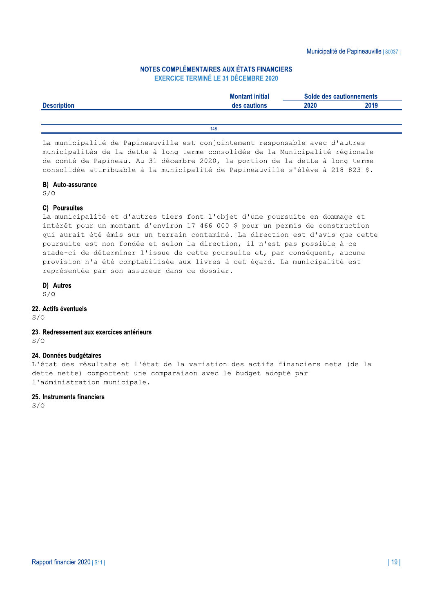### NOTES COMPLÉMENTAIRES AUX ÉTATS FINANCIERS

|                    |                                                                                                                                                                                            |      | Municipalité de Papineauville   80037 |
|--------------------|--------------------------------------------------------------------------------------------------------------------------------------------------------------------------------------------|------|---------------------------------------|
|                    | NOTES COMPLÉMENTAIRES AUX ÉTATS FINANCIERS<br><b>EXERCICE TERMINÉ LE 31 DÉCEMBRE 2020</b>                                                                                                  |      |                                       |
|                    | <b>Montant initial</b>                                                                                                                                                                     |      | Solde des cautionnements              |
| <b>Description</b> | des cautions                                                                                                                                                                               | 2020 | 2019                                  |
|                    | 148                                                                                                                                                                                        |      |                                       |
|                    |                                                                                                                                                                                            |      |                                       |
|                    | La municipalité de Papineauville est conjointement responsable avec d'autres<br>ما معامل من المساكل المساحل المسلم المساحل المعامل المساحل المساحل المساحل المساحل المساحل المساحل المساحل |      |                                       |

La municipalité de Papineauville est conjointement responsable avec d'autres municipalités de la dette à long terme consolidée de la Municipalité régionale de comté de Papineau. Au 31 décembre 2020, la portion de la dette à long terme<br>consolidée attribuable à la municipalité de Papineauville s'élève à 218 823 \$.

148<br>
La municipalité de Papineauville est conjointement responsable avec d'autres<br>
municipalités de la dette à long terme consolidée de la Municipalité régionale<br>
de comté de Papineau. Au 31 décembre 2020, la portion de la provision n'a été comptabilisée aux livres à cet égard. La municipalité est représentée par son assureur dans ce dossier.

#### D) Autres

 $S/O$ 

#### 22. Actifs éventuels

 $S/O$ 

#### 23. Redressement aux exercices antérieurs  $S/\Omega$

#### 24. Données budgétaires

L'état des résultats et l'état de la variation des actifs financiers nets (de la dette nette) comportent une comparaison avec le budget adopté par l'administration municipale.

#### 25. Instruments financiers

 $S/\Omega$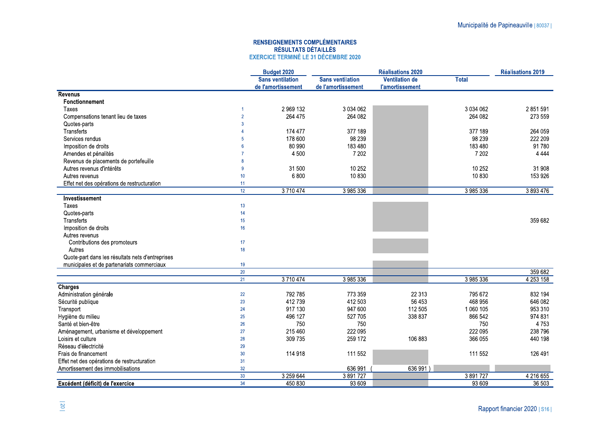|                                                               |                 | <b>RENSEIGNEMENTS COMPLÉMENTAIRES</b><br><b>RÉSULTATS DÉTAILLÉS</b><br><b>EXERCICE TERMINÉ LE 31 DÉCEMBRE 2020</b> |                                               |                                                 |                    |                          |
|---------------------------------------------------------------|-----------------|--------------------------------------------------------------------------------------------------------------------|-----------------------------------------------|-------------------------------------------------|--------------------|--------------------------|
|                                                               |                 | Budget 2020                                                                                                        |                                               | <b>Réalisations 2020</b>                        |                    | <b>Réalisations 2019</b> |
|                                                               |                 | <b>Sans ventilation</b><br>de l'amortissement                                                                      | <b>Sans ventilation</b><br>de l'amortissement | <b>Ventilation de</b><br><b>l'amortissement</b> | <b>Total</b>       |                          |
| <b>Revenus</b>                                                |                 |                                                                                                                    |                                               |                                                 |                    |                          |
| Fonctionnement                                                |                 |                                                                                                                    |                                               |                                                 |                    |                          |
| Taxes                                                         |                 | 2 969 132                                                                                                          | 3 0 3 4 0 6 2                                 |                                                 | 3 0 3 4 0 6 2      | 2 851 591                |
| Compensations tenant lieu de taxes<br>Quotes-parts            | $\mathcal{B}$   | 264 475                                                                                                            | 264 082                                       |                                                 | 264 082            | 273 559                  |
| Transferts                                                    |                 | 174 477                                                                                                            | 377 189                                       |                                                 | 377 189            | 264 059                  |
| Services rendus                                               |                 | 178 600                                                                                                            | 98 239                                        |                                                 | 98 239             | 222 209                  |
| Imposition de droits                                          |                 | 80 990                                                                                                             | 183 480                                       |                                                 | 183 480            | 91 780                   |
| Amendes et pénalités                                          |                 | 4 5 0 0                                                                                                            | 7 202                                         |                                                 | 7 202              | 4 4 4 4                  |
| Revenus de placements de portefeuille                         |                 |                                                                                                                    |                                               |                                                 |                    |                          |
| Autres revenus d'intérêts                                     | $\mathbf{Q}$    | 31 500                                                                                                             | 10 25 2                                       |                                                 | 10 25 2            | 31 908                   |
| Autres revenus<br>Effet net des opérations de restructuration | 10<br>11        | 6800                                                                                                               | 10 830                                        |                                                 | 10 830             | 153 926                  |
|                                                               | 12 <sup>°</sup> | 3710474                                                                                                            | 3 985 336                                     |                                                 | 3 985 336          | 3893476                  |
| Investissement                                                |                 |                                                                                                                    |                                               |                                                 |                    |                          |
| Taxes                                                         | 13              |                                                                                                                    |                                               |                                                 |                    |                          |
| Quotes-parts                                                  | 14              |                                                                                                                    |                                               |                                                 |                    |                          |
| Transferts                                                    | 15              |                                                                                                                    |                                               |                                                 |                    | 359 682                  |
| Imposition de droits                                          | 16              |                                                                                                                    |                                               |                                                 |                    |                          |
| Autres revenus                                                | 17              |                                                                                                                    |                                               |                                                 |                    |                          |
| Contributions des promoteurs<br>Autres                        | 18              |                                                                                                                    |                                               |                                                 |                    |                          |
| Quote-part dans les résultats nets d'entreprises              |                 |                                                                                                                    |                                               |                                                 |                    |                          |
| municipales et de partenariats commerciaux                    | 19              |                                                                                                                    |                                               |                                                 |                    |                          |
|                                                               | 20              |                                                                                                                    |                                               |                                                 |                    | 359 682                  |
|                                                               | 21              | 3710474                                                                                                            | 3 985 336                                     |                                                 | 3 985 336          | 4 2 5 3 1 5 8            |
| <b>Charges</b>                                                |                 |                                                                                                                    |                                               |                                                 |                    |                          |
| Administration générale<br>Sécurité publique                  | 22<br>23        | 792 785<br>412739                                                                                                  | 773 359<br>412 503                            | 22 3 13<br>56 453                               | 795 672<br>468 956 | 832 194<br>646 082       |
| Transport                                                     | 24              | 917 130                                                                                                            | 947 600                                       | 112 505                                         | 1 060 105          | 953 310                  |
| Hygiène du milieu                                             | 25              | 496 127                                                                                                            | 527 705                                       | 338 837                                         | 866 542            | 974 831                  |
| Santé et bien-être                                            | 26              | 750                                                                                                                | 750                                           |                                                 | 750                | 4753                     |
| Aménagement, urbanisme et développement                       | 27              | 215 460                                                                                                            | 222 095                                       |                                                 | 222 095            | 238 796                  |
| Loisirs et culture                                            | $28\,$          | 309 735                                                                                                            | 259 172                                       | 106 883                                         | 366 055            | 440 198                  |
| Réseau d'électricité                                          | 29              |                                                                                                                    |                                               |                                                 |                    |                          |
|                                                               |                 | 114 918                                                                                                            | 111 552                                       |                                                 | 111 552            | 126 491                  |
| Frais de financement                                          | $30\,$          |                                                                                                                    |                                               |                                                 |                    |                          |
| Effet net des opérations de restructuration                   | 31              |                                                                                                                    |                                               |                                                 |                    |                          |
| Amortissement des immobilisations                             | 32<br>33        | 3 259 644                                                                                                          | 636 991<br>3 891 727                          | 636 991)                                        | 3891727            | 4 216 655                |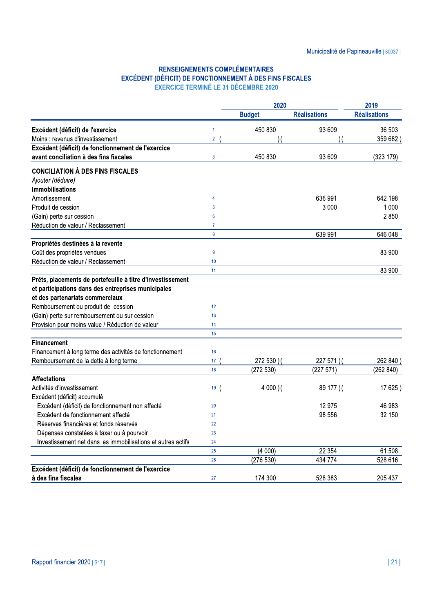### **RENSEIGNEMENTS COMPLÉMENTAIRES** EXCÉDENT (DÉFICIT) DE FONCTIONNEMENT À DES FINS FISCALES **EXERCICE TERMINÉ LE 31 DÉCEMBRE 2020**

|                                                                                                                              |                  | 2020          | 2019                |                     |
|------------------------------------------------------------------------------------------------------------------------------|------------------|---------------|---------------------|---------------------|
|                                                                                                                              |                  | <b>Budget</b> | <b>Réalisations</b> | <b>Réalisations</b> |
| Excédent (déficit) de l'exercice                                                                                             | $\mathbf{1}$     | 450 830       | 93 609              | 36 503              |
| Moins : revenus d'investissement                                                                                             | $\overline{2}$   |               |                     | 359 682)            |
| Excédent (déficit) de fonctionnement de l'exercice                                                                           |                  |               |                     |                     |
| avant conciliation à des fins fiscales                                                                                       | $\overline{3}$   | 450 830       | 93 609              | (323 179)           |
| <b>CONCILIATION À DES FINS FISCALES</b>                                                                                      |                  |               |                     |                     |
| Ajouter (déduire)                                                                                                            |                  |               |                     |                     |
| <b>Immobilisations</b>                                                                                                       |                  |               |                     |                     |
| Amortissement                                                                                                                | $\overline{4}$   |               | 636 991             | 642 198             |
| Produit de cession                                                                                                           | $\overline{5}$   |               | 3 0 0 0             | 1 0 0 0             |
| (Gain) perte sur cession                                                                                                     | $6\phantom{1}$   |               |                     | 2850                |
| Réduction de valeur / Reclassement                                                                                           | $\boldsymbol{7}$ |               |                     |                     |
|                                                                                                                              | $\pmb{8}$        |               | 639 991             | 646 048             |
| Propriétés destinées à la revente                                                                                            |                  |               |                     |                     |
| Coût des propriétés vendues                                                                                                  | $\boldsymbol{9}$ |               |                     | 83 900              |
| Réduction de valeur / Reclassement                                                                                           | 10               |               |                     |                     |
|                                                                                                                              | 11               |               |                     | 83 900              |
| et participations dans des entreprises municipales<br>et des partenariats commerciaux<br>Remboursement ou produit de cession | 12               |               |                     |                     |
| (Gain) perte sur remboursement ou sur cession                                                                                | 13               |               |                     |                     |
| Provision pour moins-value / Réduction de valeur                                                                             | 14               |               |                     |                     |
|                                                                                                                              | 15               |               |                     |                     |
| <b>Financement</b>                                                                                                           |                  |               |                     |                     |
| Financement à long terme des activités de fonctionnement                                                                     | 16               |               |                     |                     |
| Remboursement de la dette à long terme                                                                                       | 17               | 272 530 ) (   | 227 571)(           | 262 840)            |
|                                                                                                                              | 18               | (272530)      | (227571)            | (262 840)           |
| <b>Affectations</b>                                                                                                          |                  |               |                     |                     |
| Activités d'investissement                                                                                                   | 19(              | $4000$ )(     | 89 177 ) (          | 17 625)             |
| Excédent (déficit) accumulé                                                                                                  |                  |               |                     |                     |
| Excédent (déficit) de fonctionnement non affecté                                                                             | 20               |               | 12 975              | 46 983              |
| Excédent de fonctionnement affecté                                                                                           | 21               |               | 98 556              | 32 150              |
| Réserves financières et fonds réservés                                                                                       | 22               |               |                     |                     |
| Dépenses constatées à taxer ou à pourvoir                                                                                    | 23               |               |                     |                     |
| Investissement net dans les immobilisations et autres actifs                                                                 | 24               |               |                     |                     |
|                                                                                                                              | 25               | (4000)        | 22 354              | 61 508              |
|                                                                                                                              | 26               | (276 530)     | 434 774             | 528 616             |
| Excédent (déficit) de fonctionnement de l'exercice                                                                           |                  |               |                     |                     |
| à des fins fiscales                                                                                                          | 27               | 174 300       | 528 383             | 205 437             |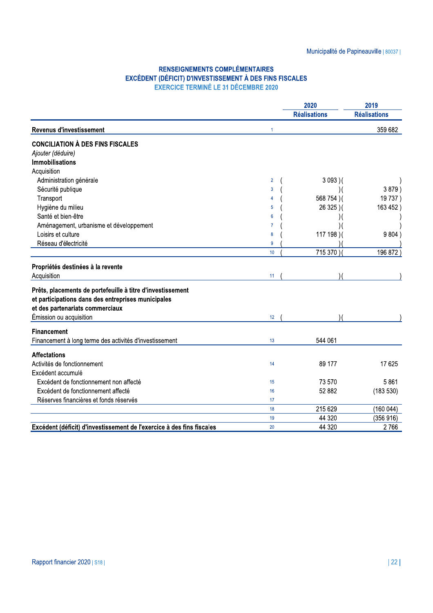## **RENSEIGNEMENTS COMPLÉMENTAIRES**

| <b>RENSEIGNEMENTS COMPLÉMENTAIRES</b><br>EXCÉDENT (DÉFICIT) D'INVESTISSEMENT À DES FINS FISCALES<br><b>EXERCICE TERMINÉ LE 31 DÉCEMBRE 2020</b> |                      |                              |                     |
|-------------------------------------------------------------------------------------------------------------------------------------------------|----------------------|------------------------------|---------------------|
|                                                                                                                                                 |                      |                              |                     |
|                                                                                                                                                 |                      | 2020                         | 2019                |
|                                                                                                                                                 |                      | <b>Réalisations</b>          | <b>Réalisations</b> |
| <b>Revenus d'investissement</b>                                                                                                                 | $\blacktriangleleft$ |                              | 359 682             |
| <b>CONCILIATION À DES FINS FISCALES</b>                                                                                                         |                      |                              |                     |
| Ajouter (déduire)                                                                                                                               |                      |                              |                     |
| <b>Immobilisations</b>                                                                                                                          |                      |                              |                     |
| Acquisition                                                                                                                                     |                      |                              |                     |
| Administration générale<br>Sécurité publique                                                                                                    | $\overline{2}$<br>3  | $3093$ )(                    | 3879)               |
|                                                                                                                                                 | 4                    | $\mathcal{N}$<br>568 754 ) ( | 19737)              |
| Transport<br>Hygiène du milieu                                                                                                                  | 5                    | 26 325 ) (                   | 163 452)            |
| Santé et bien-être                                                                                                                              | 6                    |                              |                     |
| Aménagement, urbanisme et développement                                                                                                         | 7                    |                              |                     |
| Loisirs et culture                                                                                                                              | 8                    | 117 198)(                    | 9804)               |
| Réseau d'électricité                                                                                                                            | 9                    |                              |                     |
|                                                                                                                                                 | 10 <sup>1</sup>      | 715 370)                     | 196 872             |
|                                                                                                                                                 |                      |                              |                     |
| Propriétés destinées à la revente<br>Acquisition                                                                                                | 11                   |                              |                     |
|                                                                                                                                                 |                      |                              |                     |
| Prêts, placements de portefeuille à titre d'investissement                                                                                      |                      |                              |                     |
| et participations dans des entreprises municipales                                                                                              |                      |                              |                     |
| et des partenariats commerciaux                                                                                                                 |                      |                              |                     |
| Émission ou acquisition                                                                                                                         | 12 <sup>°</sup>      |                              |                     |
| <b>Financement</b>                                                                                                                              |                      |                              |                     |
| Financement à long terme des activités d'investissement                                                                                         | 13                   | 544 061                      |                     |
| <b>Affectations</b>                                                                                                                             |                      |                              |                     |
| Activités de fonctionnement                                                                                                                     | 14                   | 89 177                       | 17 625              |
| Excédent accumulé                                                                                                                               |                      |                              |                     |
| Excédent de fonctionnement non affecté                                                                                                          | 15                   | 73 570                       | 5861                |
| Excédent de fonctionnement affecté                                                                                                              | 16                   | 52 882                       | (183530)            |
| Réserves financières et fonds réservés                                                                                                          | 17                   |                              |                     |
|                                                                                                                                                 | 18                   | 215 629                      | (160044)            |
|                                                                                                                                                 | 19                   | 44 3 20                      | (356916)            |
| Excédent (déficit) d'investissement de l'exercice à des fins fiscales                                                                           | $20\,$               | 44 320                       | 2766                |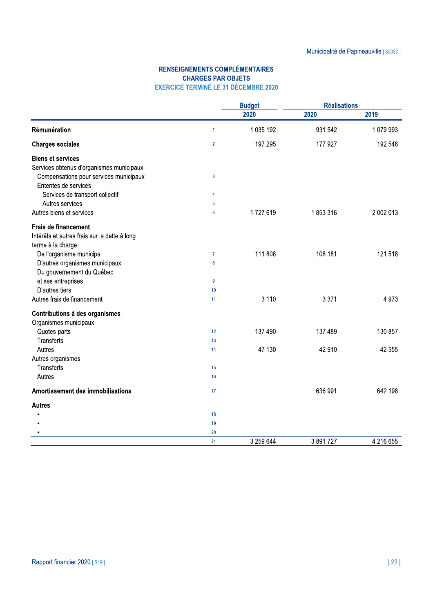### **RENSEIGNEMENTS COMPLÉMENTAIRES CHARGES PAR OBJETS EXERCICE TERMINÉ LE 31 DÉCEMBRE 2020**

|                                                                |                | <b>Budget</b> | <b>Réalisations</b> |           |
|----------------------------------------------------------------|----------------|---------------|---------------------|-----------|
|                                                                |                | 2020          | 2020                | 2019      |
| Rémunération                                                   | $\mathbf{1}$   | 1 035 192     | 931 542             | 1079993   |
| <b>Charges sociales</b>                                        | $\overline{2}$ | 197 295       | 177 927             | 192 548   |
| <b>Biens et services</b>                                       |                |               |                     |           |
| Services obtenus d'organismes municipaux                       |                |               |                     |           |
| Compensations pour services municipaux<br>Ententes de services | 3              |               |                     |           |
| Services de transport collectif                                | 4              |               |                     |           |
| Autres services                                                | 5              |               |                     |           |
| Autres biens et services                                       | $6\phantom{1}$ | 1727619       | 1853316             | 2 002 013 |
|                                                                |                |               |                     |           |
| <b>Frais de financement</b>                                    |                |               |                     |           |
| Intérêts et autres frais sur la dette à long                   |                |               |                     |           |
| terme à la charge                                              |                |               |                     |           |
| De l'organisme municipal                                       | $\overline{7}$ | 111 808       | 108 181             | 121 518   |
| D'autres organismes municipaux                                 | 8              |               |                     |           |
| Du gouvernement du Québec                                      |                |               |                     |           |
| et ses entreprises                                             | $\overline{9}$ |               |                     |           |
| D'autres tiers                                                 | 10             |               |                     |           |
| Autres frais de financement                                    | 11             | 3 1 1 0       | 3 3 7 1             | 4973      |
| Contributions à des organismes                                 |                |               |                     |           |
| Organismes municipaux                                          |                |               |                     |           |
| Quotes-parts                                                   | 12             | 137 490       | 137 489             | 130 857   |
| <b>Transferts</b>                                              | 13             |               |                     |           |
| Autres                                                         | 14             | 47 130        | 42 910              | 42 555    |
| Autres organismes                                              |                |               |                     |           |
| <b>Transferts</b>                                              | 15             |               |                     |           |
| Autres                                                         | 16             |               |                     |           |
| <b>Amortissement des immobilisations</b>                       | 17             |               | 636 991             | 642 198   |
| <b>Autres</b>                                                  |                |               |                     |           |
|                                                                | 18             |               |                     |           |
|                                                                | 19             |               |                     |           |
|                                                                | 20             |               |                     |           |
|                                                                | 21             | 3 259 644     | 3891727             | 4 216 655 |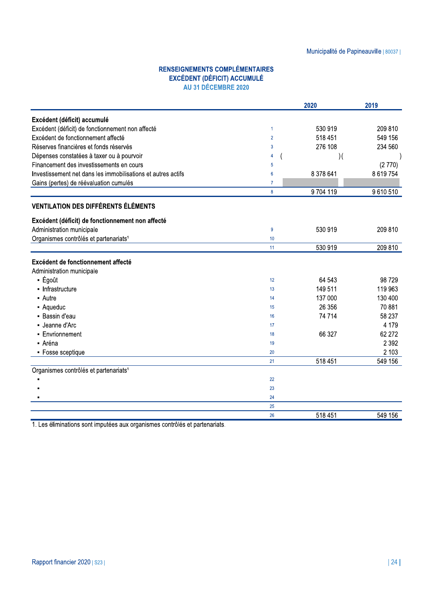|                                                                                                    |                |               | Municipalité de Papineauville   80037 |
|----------------------------------------------------------------------------------------------------|----------------|---------------|---------------------------------------|
| <b>RENSEIGNEMENTS COMPLÉMENTAIRES</b><br><b>EXCÉDENT (DÉFICIT) ACCUMULÉ</b><br>AU 31 DÉCEMBRE 2020 |                |               |                                       |
|                                                                                                    |                | 2020          | 2019                                  |
| Excédent (déficit) accumulé                                                                        |                |               |                                       |
| Excédent (déficit) de fonctionnement non affecté                                                   | $\mathbf{1}$   | 530 919       | 209 810                               |
| Excédent de fonctionnement affecté                                                                 | $\overline{2}$ | 518 451       | 549 156                               |
| Réserves financières et fonds réservés                                                             | 3              | 276 108       | 234 560                               |
| Dépenses constatées à taxer ou à pourvoir                                                          | 4              | $\mathcal{Y}$ |                                       |
| Financement des investissements en cours                                                           | 5              |               | (2770)                                |
| Investissement net dans les immobilisations et autres actifs                                       | $6\phantom{1}$ | 8 378 641     | 8 619 754                             |
| Gains (pertes) de réévaluation cumulés                                                             | 7              |               |                                       |
|                                                                                                    | $\bf{8}$       | 9704119       | 9610510                               |
| <b>VENTILATION DES DIFFÉRENTS ÉLÉMENTS</b>                                                         |                |               |                                       |
| Excédent (déficit) de fonctionnement non affecté                                                   |                |               |                                       |
| Administration municipale                                                                          | 9              | 530 919       | 209 810                               |
| Organismes contrôlés et partenariats <sup>1</sup>                                                  | 10             |               |                                       |
|                                                                                                    | 11             | 530 919       | 209 810                               |
| Excédent de fonctionnement affecté                                                                 |                |               |                                       |
| Administration municipale                                                                          |                |               |                                       |
| - Égoût                                                                                            | 12             | 64 543        | 98 729                                |
| • Infrastructure                                                                                   | 13             | 149 511       | 119 963                               |
| • Autre                                                                                            | 14             | 137 000       | 130 400                               |
| - Aqueduc                                                                                          | 15             | 26 35 6       | 70 881                                |
| - Bassin d'eau                                                                                     | 16             | 74 714        | 58 237                                |
| - Jeanne d'Arc                                                                                     | 17             |               | 4 1 7 9                               |
| - Envrionnement                                                                                    | 18             | 66 327        | 62 272                                |
| - Aréna                                                                                            | 19             |               | 2 3 9 2                               |
| • Fosse sceptique                                                                                  | $20\,$         |               | 2 1 0 3                               |
|                                                                                                    | 21             | 518 451       | 549 156                               |
| Organismes contrôlés et partenariats <sup>1</sup>                                                  |                |               |                                       |
|                                                                                                    | 22             |               |                                       |
|                                                                                                    | 23             |               |                                       |
|                                                                                                    | 24             |               |                                       |
|                                                                                                    | 25             |               |                                       |
|                                                                                                    | 26             | 518 451       | 549 156                               |

1. Les éliminations sont imputées aux organismes contrôlés et partenariats.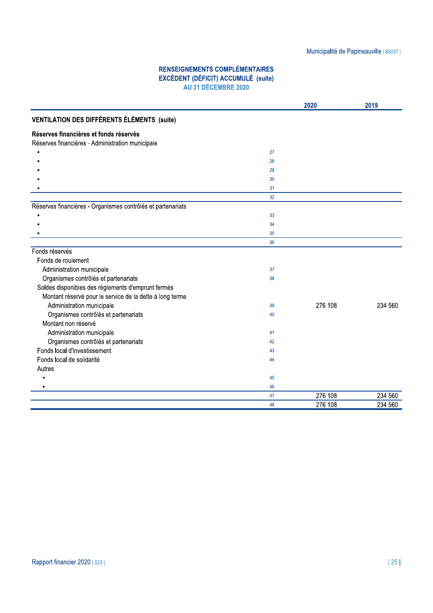|                                                                                            |                                                                                                            |         | Municipalité de Papineauville   80037 |
|--------------------------------------------------------------------------------------------|------------------------------------------------------------------------------------------------------------|---------|---------------------------------------|
|                                                                                            |                                                                                                            |         |                                       |
|                                                                                            | <b>RENSEIGNEMENTS COMPLÉMENTAIRES</b><br><b>EXCÉDENT (DÉFICIT) ACCUMULÉ (suite)</b><br>AU 31 DÉCEMBRE 2020 |         |                                       |
|                                                                                            |                                                                                                            | 2020    | 2019                                  |
| <b>VENTILATION DES DIFFÉRENTS ÉLÉMENTS (suite)</b>                                         |                                                                                                            |         |                                       |
| Réserves financières et fonds réservés<br>Réserves financières - Administration municipale |                                                                                                            |         |                                       |
|                                                                                            | 27                                                                                                         |         |                                       |
|                                                                                            | 28                                                                                                         |         |                                       |
|                                                                                            | 29                                                                                                         |         |                                       |
|                                                                                            | 30                                                                                                         |         |                                       |
|                                                                                            | 31                                                                                                         |         |                                       |
|                                                                                            | 32                                                                                                         |         |                                       |
| Réserves financières - Organismes contrôlés et partenariats                                |                                                                                                            |         |                                       |
|                                                                                            | 33                                                                                                         |         |                                       |
|                                                                                            | 34                                                                                                         |         |                                       |
|                                                                                            | 35                                                                                                         |         |                                       |
|                                                                                            | 36                                                                                                         |         |                                       |
| Fonds réservés                                                                             |                                                                                                            |         |                                       |
| Fonds de roulement                                                                         |                                                                                                            |         |                                       |
| Administration municipale                                                                  | 37                                                                                                         |         |                                       |
| Organismes contrôlés et partenariats                                                       | 38                                                                                                         |         |                                       |
| Soldes disponibles des règlements d'emprunt fermés                                         |                                                                                                            |         |                                       |
| Montant réservé pour le service de la dette à long terme                                   |                                                                                                            |         |                                       |
| Administration municipale                                                                  | 39                                                                                                         | 276 108 | 234 560                               |
| Organismes contrôlés et partenariats                                                       | 40                                                                                                         |         |                                       |
| Montant non réservé                                                                        |                                                                                                            |         |                                       |
| Administration municipale                                                                  | 41                                                                                                         |         |                                       |
| Organismes contrôlés et partenariats                                                       | 42                                                                                                         |         |                                       |
| Fonds local d'investissement                                                               | 43                                                                                                         |         |                                       |
| Fonds local de solidarité                                                                  | 44                                                                                                         |         |                                       |
| Autres                                                                                     |                                                                                                            |         |                                       |
| п                                                                                          | 45                                                                                                         |         |                                       |
|                                                                                            | 46                                                                                                         |         |                                       |
|                                                                                            | $47\,$                                                                                                     | 276 108 | 234 560                               |
|                                                                                            | 48                                                                                                         | 276 108 | 234 560                               |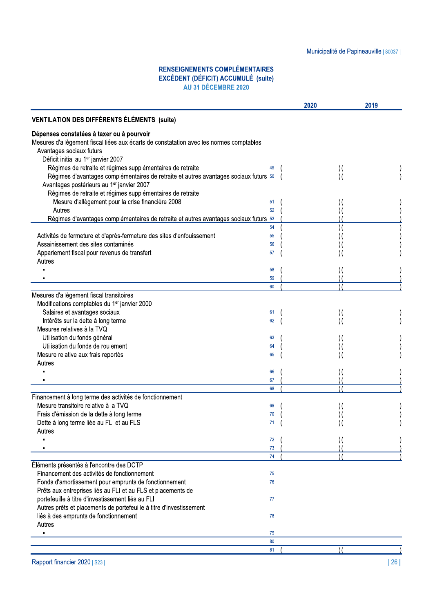### **RENSEIGNEMENTS COMPLÉMENTAIRES** EXCÉDENT (DÉFICIT) ACCUMULÉ (suite)<br>AU 31 DÉCEMBRE 2020

|                                                                                         |          | 2020           | 2019 |
|-----------------------------------------------------------------------------------------|----------|----------------|------|
| <b>VENTILATION DES DIFFÉRENTS ÉLÉMENTS (suite)</b>                                      |          |                |      |
| Dépenses constatées à taxer ou à pourvoir                                               |          |                |      |
| Mesures d'allègement fiscal liées aux écarts de constatation avec les normes comptables |          |                |      |
| Avantages sociaux futurs                                                                |          |                |      |
| Déficit initial au 1er janvier 2007                                                     |          |                |      |
| Régimes de retraite et régimes supplémentaires de retraite                              |          | $)$ (          |      |
| Régimes d'avantages complémentaires de retraite et autres avantages sociaux futurs 50   |          | $\mathcal{Y}$  |      |
| Avantages postérieurs au 1er janvier 2007                                               |          |                |      |
| Régimes de retraite et régimes supplémentaires de retraite                              |          |                |      |
| Mesure d'allègement pour la crise financière 2008                                       | 51       |                |      |
| Autres                                                                                  | 52       |                |      |
| Régimes d'avantages complémentaires de retraite et autres avantages sociaux futurs 53   |          |                |      |
|                                                                                         | 54       | $\mathcal{)}($ |      |
| Activités de fermeture et d'après-fermeture des sites d'enfouissement                   | 55       |                |      |
| Assainissement des sites contaminés                                                     | 56       |                |      |
| Appariement fiscal pour revenus de transfert                                            | 57       |                |      |
| Autres                                                                                  |          |                |      |
|                                                                                         | 58       |                |      |
|                                                                                         |          |                |      |
|                                                                                         | 59<br>60 |                |      |
| Mesures d'allègement fiscal transitoires                                                |          |                |      |
|                                                                                         |          |                |      |
| Modifications comptables du 1 <sup>er</sup> janvier 2000                                |          |                |      |
| Salaires et avantages sociaux                                                           | 61       | $)$ (          |      |
| Intérêts sur la dette à long terme                                                      | 62       | $\mathcal{A}$  |      |
| Mesures relatives à la TVQ                                                              |          |                |      |
| Utilisation du fonds général                                                            | 63       |                |      |
| Utilisation du fonds de roulement                                                       | 64       | ) (            |      |
| Mesure relative aux frais reportés                                                      | 65       |                |      |
| Autres                                                                                  |          |                |      |
|                                                                                         | 66       |                |      |
|                                                                                         | 67       |                |      |
|                                                                                         | 68       |                |      |
| Financement à long terme des activités de fonctionnement                                |          |                |      |
| Mesure transitoire relative à la TVQ                                                    | 69       | ) (            |      |
| Frais d'émission de la dette à long terme                                               | 70       |                |      |
| Dette à long terme liée au FLI et au FLS                                                | 71       |                |      |
| Autres                                                                                  |          |                |      |
|                                                                                         | 72       |                |      |
|                                                                                         | 73       |                |      |
|                                                                                         | 74       |                |      |
| Éléments présentés à l'encontre des DCTP                                                |          |                |      |
| Financement des activités de fonctionnement                                             | 75       |                |      |
| Fonds d'amortissement pour emprunts de fonctionnement                                   | 76       |                |      |
| Prêts aux entreprises liés au FLI et au FLS et placements de                            |          |                |      |
| portefeuille à titre d'investissement liés au FLI                                       | 77       |                |      |
| Autres prêts et placements de portefeuille à titre d'investissement                     |          |                |      |
| liés à des emprunts de fonctionnement                                                   | 78       |                |      |
| Autres                                                                                  |          |                |      |
|                                                                                         | 79       |                |      |
|                                                                                         | 80       |                |      |
|                                                                                         | 81       |                |      |
|                                                                                         |          |                |      |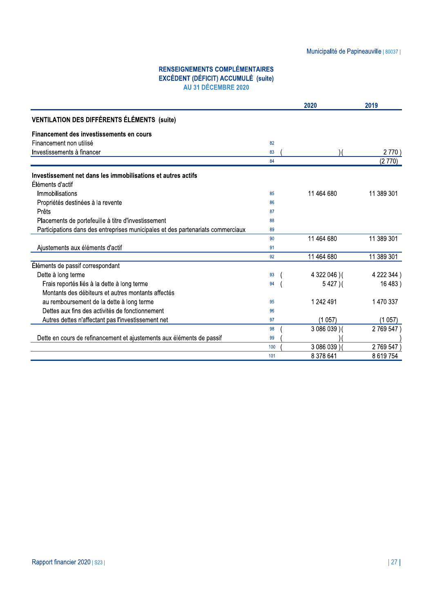|                                                                                                            |     |               | Municipalité de Papineauville   80037 |
|------------------------------------------------------------------------------------------------------------|-----|---------------|---------------------------------------|
|                                                                                                            |     |               |                                       |
| <b>RENSEIGNEMENTS COMPLÉMENTAIRES</b><br><b>EXCÉDENT (DÉFICIT) ACCUMULÉ (suite)</b><br>AU 31 DÉCEMBRE 2020 |     |               |                                       |
|                                                                                                            |     | 2020          | 2019                                  |
| <b>VENTILATION DES DIFFÉRENTS ÉLÉMENTS (suite)</b>                                                         |     |               |                                       |
| Financement des investissements en cours                                                                   |     |               |                                       |
| Financement non utilisé                                                                                    | 82  |               |                                       |
| Investissements à financer                                                                                 | 83  |               | 2770)                                 |
|                                                                                                            | 84  |               | (2770)                                |
| Investissement net dans les immobilisations et autres actifs                                               |     |               |                                       |
| Éléments d'actif                                                                                           |     |               |                                       |
| Immobilisations                                                                                            | 85  | 11 464 680    | 11 389 301                            |
| Propriétés destinées à la revente                                                                          | 86  |               |                                       |
| Prêts                                                                                                      | 87  |               |                                       |
| Placements de portefeuille à titre d'investissement                                                        | 88  |               |                                       |
| Participations dans des entreprises municipales et des partenariats commerciaux                            | 89  |               |                                       |
|                                                                                                            | 90  | 11 464 680    | 11 389 301                            |
| Ajustements aux éléments d'actif                                                                           | 91  |               |                                       |
|                                                                                                            | 92  | 11 464 680    | 11 389 301                            |
| Éléments de passif correspondant                                                                           |     |               |                                       |
| Dette à long terme                                                                                         | 93  | 4 322 046 ) ( | 4 222 344)                            |
| Frais reportés liés à la dette à long terme                                                                | 94  | $5427$ )(     | 16 483)                               |
| Montants des débiteurs et autres montants affectés                                                         |     |               |                                       |
| au remboursement de la dette à long terme                                                                  | 95  | 1 242 491     | 1 470 337                             |
| Dettes aux fins des activités de fonctionnement                                                            | 96  |               |                                       |
| Autres dettes n'affectant pas l'investissement net                                                         | 97  | (1057)        | (1057)                                |
|                                                                                                            | 98  | 3 086 039 ) ( | 2769547                               |
| Dette en cours de refinancement et ajustements aux éléments de passif                                      | 99  |               |                                       |
|                                                                                                            | 100 | 3 086 039)    | 2769547                               |
|                                                                                                            | 101 | 8 378 641     | 8 619 754                             |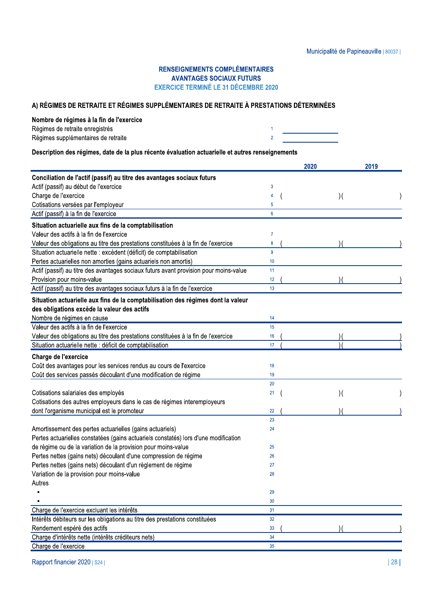# RENSEIGNEMENTS COMPLEMENTAIRES Municipalité<br>
RENSEIGNEMENTS COMPLÉMENTAIRES<br>
AVANTAGES SOCIAUX FUTURS<br>
EXERCICE TERMINÉ LE 31 DÉCEMBRE 2020<br>
Nombre de régimes à la fin de l'exercice<br>
Régimes de retraite enregistrés<br>
Régimes supplémentaires de retraite<br>

| registrés       |  |
|-----------------|--|
| res de retraite |  |

| A) RÉGIMES DE RETRAITE ET RÉGIMES SUPPLÉMENTAIRES DE RETRAITE À PRESTATIONS DÉTERMINÉES          |                |      |                            |  |
|--------------------------------------------------------------------------------------------------|----------------|------|----------------------------|--|
| Nombre de régimes à la fin de l'exercice                                                         |                |      |                            |  |
| Régimes de retraite enregistrés                                                                  |                |      |                            |  |
| Régimes supplémentaires de retraite                                                              | $\overline{2}$ |      |                            |  |
| Description des régimes, date de la plus récente évaluation actuarielle et autres renseignements |                |      |                            |  |
|                                                                                                  |                |      |                            |  |
|                                                                                                  |                | 2020 | 2019                       |  |
| Conciliation de l'actif (passif) au titre des avantages sociaux futurs                           |                |      |                            |  |
| Actif (passif) au début de l'exercice                                                            | 3              |      |                            |  |
| Charge de l'exercice                                                                             |                |      | $)$ (                      |  |
| Cotisations versées par l'employeur                                                              | 5              |      |                            |  |
| Actif (passif) à la fin de l'exercice                                                            | $6\phantom{1}$ |      |                            |  |
| Situation actuarielle aux fins de la comptabilisation                                            |                |      |                            |  |
| Valeur des actifs à la fin de l'exercice                                                         | $\overline{7}$ |      |                            |  |
| Valeur des obligations au titre des prestations constituées à la fin de l'exercice               | 8              |      |                            |  |
| Situation actuarielle nette : excédent (déficit) de comptabilisation                             | 9              |      |                            |  |
| Pertes actuarielles non amorties (gains actuariels non amortis)                                  | 10             |      |                            |  |
| Actif (passif) au titre des avantages sociaux futurs avant provision pour moins-value            | 11             |      |                            |  |
| Provision pour moins-value                                                                       | 12             |      |                            |  |
| Actif (passif) au titre des avantages sociaux futurs à la fin de l'exercice                      | 13             |      |                            |  |
| Situation actuarielle aux fins de la comptabilisation des régimes dont la valeur                 |                |      |                            |  |
| des obligations excède la valeur des actifs                                                      |                |      |                            |  |
| Nombre de régimes en cause                                                                       | 14             |      |                            |  |
| Valeur des actifs à la fin de l'exercice                                                         | 15             |      |                            |  |
| Valeur des obligations au titre des prestations constituées à la fin de l'exercice               | 16             |      |                            |  |
| Situation actuarielle nette : déficit de comptabilisation                                        | 17             |      |                            |  |
| Charge de l'exercice                                                                             |                |      |                            |  |
| Coût des avantages pour les services rendus au cours de l'exercice                               | 18             |      |                            |  |
| Coût des services passés découlant d'une modification de régime                                  | 19             |      |                            |  |
|                                                                                                  | 20             |      |                            |  |
| Cotisations salariales des employés                                                              | 21             |      | $\mathcal{Y}(\mathcal{X})$ |  |
| Cotisations des autres employeurs dans le cas de régimes interemployeurs                         |                |      |                            |  |
| dont l'organisme municipal est le promoteur                                                      | 22             |      |                            |  |
|                                                                                                  | 23             |      |                            |  |
| Amortissement des pertes actuarielles (gains actuariels)                                         | 24             |      |                            |  |
| Pertes actuarielles constatées (gains actuariels constatés) lors d'une modification              |                |      |                            |  |
| de régime ou de la variation de la provision pour moins-value                                    | 25             |      |                            |  |
| Pertes nettes (gains nets) découlant d'une compression de régime                                 | 26             |      |                            |  |
| Pertes nettes (gains nets) découlant d'un règlement de régime                                    | 27             |      |                            |  |
| Variation de la provision pour moins-value                                                       | 28             |      |                            |  |
| Autres                                                                                           |                |      |                            |  |
|                                                                                                  | 29             |      |                            |  |
|                                                                                                  | 30             |      |                            |  |
| Charge de l'exercice excluant les intérêts                                                       | 31             |      |                            |  |
| Intérêts débiteurs sur les obligations au titre des prestations constituées                      | 32             |      |                            |  |
| Rendement espéré des actifs                                                                      | 33             |      |                            |  |
| Charge d'intérêts nette (intérêts créditeurs nets)                                               | 34             |      |                            |  |
| Charge de l'exercice                                                                             | 35             |      |                            |  |
|                                                                                                  |                |      |                            |  |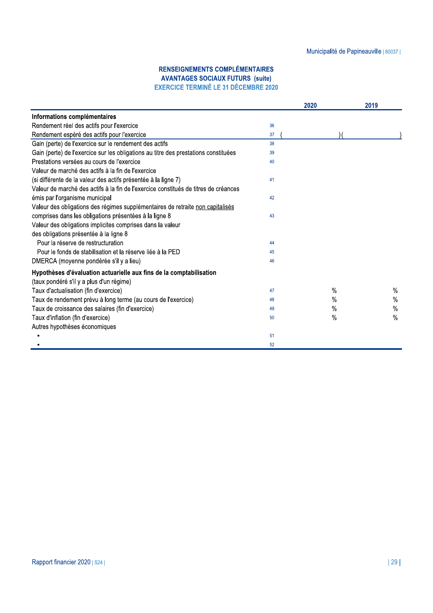|                                                                                     |    | 2020          | 2019          |
|-------------------------------------------------------------------------------------|----|---------------|---------------|
| Informations complémentaires                                                        |    |               |               |
| Rendement réel des actifs pour l'exercice                                           | 36 |               |               |
| Rendement espéré des actifs pour l'exercice                                         | 37 |               |               |
| Gain (perte) de l'exercice sur le rendement des actifs                              | 38 |               |               |
| Gain (perte) de l'exercice sur les obligations au titre des prestations constituées | 39 |               |               |
| Prestations versées au cours de l'exercice                                          | 40 |               |               |
| Valeur de marché des actifs à la fin de l'exercice                                  |    |               |               |
| (si différente de la valeur des actifs présentée à la ligne 7)                      | 41 |               |               |
| Valeur de marché des actifs à la fin de l'exercice constitués de titres de créances |    |               |               |
| émis par l'organisme municipal                                                      | 42 |               |               |
| Valeur des obligations des régimes supplémentaires de retraite non capitalisés      |    |               |               |
| comprises dans les obligations présentées à la ligne 8                              | 43 |               |               |
| Valeur des obligations implicites comprises dans la valeur                          |    |               |               |
| des obligations présentée à la ligne 8                                              |    |               |               |
| Pour la réserve de restructuration                                                  | 44 |               |               |
| Pour le fonds de stabilisation et la réserve liée à la PED                          | 45 |               |               |
| DMERCA (moyenne pondérée s'il y a lieu)                                             | 46 |               |               |
| Hypothèses d'évaluation actuarielle aux fins de la comptabilisation                 |    |               |               |
| (taux pondéré s'il y a plus d'un régime)                                            |    |               |               |
| Taux d'actualisation (fin d'exercice)                                               | 47 | %             | %             |
| Taux de rendement prévu à long terme (au cours de l'exercice)                       | 48 | %             | $\%$          |
| Taux de croissance des salaires (fin d'exercice)                                    | 49 | $\%$          | $\%$          |
| Taux d'inflation (fin d'exercice)                                                   | 50 | $\frac{0}{0}$ | $\frac{0}{0}$ |
| Autres hypothèses économiques                                                       |    |               |               |
|                                                                                     | 51 |               |               |
|                                                                                     | 52 |               |               |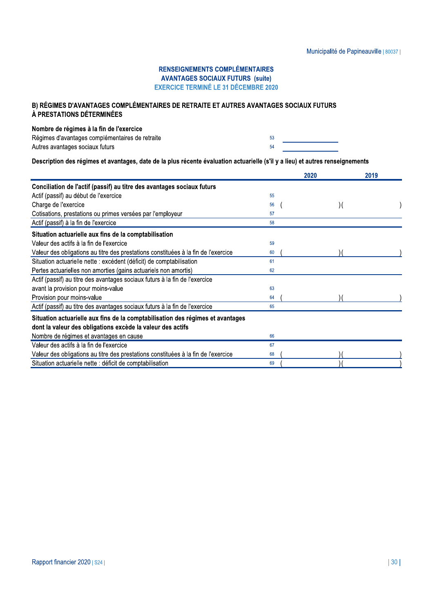### B) RÉGIMES D'AVANTAGES COMPLÉMENTAIRES DE RETRAITE ET AUTRES AVANTAGES SOCIAUX FUTURS À PRESTATIONS DÉTERMINÉES

#### Nombre de régimes à la fin de l'exercice

| Régimes d'avantages complémentaires de retraite |  |
|-------------------------------------------------|--|
| Autres avantages sociaux futurs                 |  |

53 54

Description des régimes et avantages, date de la plus récente évaluation actuarielle (s'il y a lieu) et autres renseignements

|                                                                                    |    | 2020  | 2019 |
|------------------------------------------------------------------------------------|----|-------|------|
| Conciliation de l'actif (passif) au titre des avantages sociaux futurs             |    |       |      |
| Actif (passif) au début de l'exercice                                              | 55 |       |      |
| Charge de l'exercice                                                               | 56 | $)$ ( |      |
| Cotisations, prestations ou primes versées par l'employeur                         | 57 |       |      |
| Actif (passif) à la fin de l'exercice                                              | 58 |       |      |
| Situation actuarielle aux fins de la comptabilisation                              |    |       |      |
| Valeur des actifs à la fin de l'exercice                                           | 59 |       |      |
| Valeur des obligations au titre des prestations constituées à la fin de l'exercice | 60 |       |      |
| Situation actuarielle nette : excédent (déficit) de comptabilisation               | 61 |       |      |
| Pertes actuarielles non amorties (gains actuariels non amortis)                    | 62 |       |      |
| Actif (passif) au titre des avantages sociaux futurs à la fin de l'exercice        |    |       |      |
| avant la provision pour moins-value                                                | 63 |       |      |
| Provision pour moins-value                                                         | 64 |       |      |
| Actif (passif) au titre des avantages sociaux futurs à la fin de l'exercice        | 65 |       |      |
| Situation actuarielle aux fins de la comptabilisation des régimes et avantages     |    |       |      |
| dont la valeur des obligations excède la valeur des actifs                         |    |       |      |
| Nombre de régimes et avantages en cause                                            | 66 |       |      |
| Valeur des actifs à la fin de l'exercice                                           | 67 |       |      |
| Valeur des obligations au titre des prestations constituées à la fin de l'exercice | 68 |       |      |
| Situation actuarielle nette : déficit de comptabilisation                          | 69 |       |      |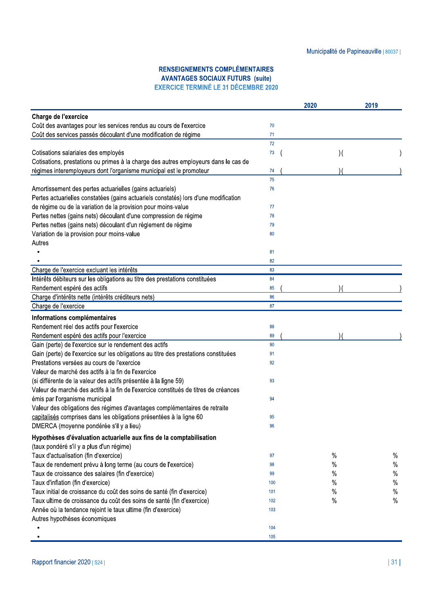|                                                                                     |     | 2020 | 2019 |
|-------------------------------------------------------------------------------------|-----|------|------|
| Charge de l'exercice                                                                |     |      |      |
| Coût des avantages pour les services rendus au cours de l'exercice                  | 70  |      |      |
| Coût des services passés découlant d'une modification de régime                     | 71  |      |      |
|                                                                                     | 72  |      |      |
| Cotisations salariales des employés                                                 | 73  | )    |      |
| Cotisations, prestations ou primes à la charge des autres employeurs dans le cas de |     |      |      |
| régimes interemployeurs dont l'organisme municipal est le promoteur                 | 74  |      |      |
|                                                                                     | 75  |      |      |
| Amortissement des pertes actuarielles (gains actuariels)                            | 76  |      |      |
| Pertes actuarielles constatées (gains actuariels constatés) lors d'une modification |     |      |      |
| de régime ou de la variation de la provision pour moins-value                       | 77  |      |      |
| Pertes nettes (gains nets) découlant d'une compression de régime                    | 78  |      |      |
| Pertes nettes (gains nets) découlant d'un règlement de régime                       | 79  |      |      |
| Variation de la provision pour moins-value                                          | 80  |      |      |
| Autres                                                                              |     |      |      |
|                                                                                     | 81  |      |      |
|                                                                                     | 82  |      |      |
| Charge de l'exercice excluant les intérêts                                          | 83  |      |      |
| Intérêts débiteurs sur les obligations au titre des prestations constituées         | 84  |      |      |
| Rendement espéré des actifs                                                         | 85  |      |      |
| Charge d'intérêts nette (intérêts créditeurs nets)                                  | 86  |      |      |
| Charge de l'exercice                                                                | 87  |      |      |
| Informations complémentaires                                                        |     |      |      |
| Rendement réel des actifs pour l'exercice                                           | 88  |      |      |
| Rendement espéré des actifs pour l'exercice                                         | 89  |      |      |
| Gain (perte) de l'exercice sur le rendement des actifs                              | 90  |      |      |
| Gain (perte) de l'exercice sur les obligations au titre des prestations constituées | 91  |      |      |
| Prestations versées au cours de l'exercice                                          | 92  |      |      |
| Valeur de marché des actifs à la fin de l'exercice                                  |     |      |      |
| (si différente de la valeur des actifs présentée à la ligne 59)                     | 93  |      |      |
| Valeur de marché des actifs à la fin de l'exercice constitués de titres de créances |     |      |      |
| émis par l'organisme municipal                                                      | 94  |      |      |
| Valeur des obligations des régimes d'avantages complémentaires de retraite          |     |      |      |
| capitalisés comprises dans les obligations présentées à la ligne 60                 | 95  |      |      |
|                                                                                     | 96  |      |      |
| DMERCA (moyenne pondérée s'il y a lieu)                                             |     |      |      |
| Hypothèses d'évaluation actuarielle aux fins de la comptabilisation                 |     |      |      |
| (taux pondéré s'il y a plus d'un régime)                                            |     |      |      |
| Taux d'actualisation (fin d'exercice)                                               | 97  | $\%$ | %    |
| Taux de rendement prévu à long terme (au cours de l'exercice)                       | 98  | $\%$ | $\%$ |
| Taux de croissance des salaires (fin d'exercice)                                    | 99  | $\%$ | $\%$ |
| Taux d'inflation (fin d'exercice)                                                   | 100 | $\%$ | $\%$ |
| Taux initial de croissance du coût des soins de santé (fin d'exercice)              | 101 | $\%$ | %    |
| Taux ultime de croissance du coût des soins de santé (fin d'exercice)               | 102 | $\%$ | %    |
| Année où la tendance rejoint le taux ultime (fin d'exercice)                        | 103 |      |      |
| Autres hypothèses économiques                                                       |     |      |      |
|                                                                                     | 104 |      |      |
|                                                                                     | 105 |      |      |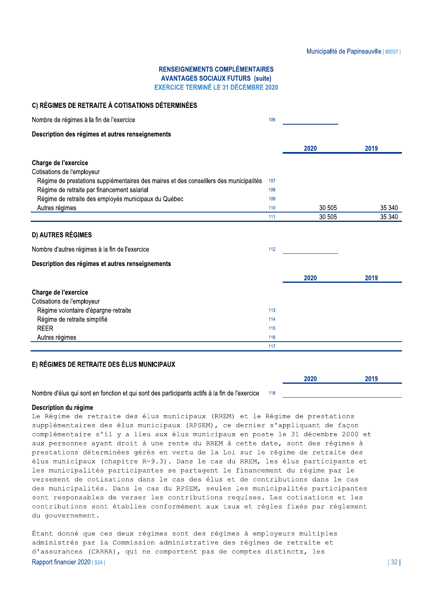2020

#### **RENSEIGNEMENTS COMPLÉMENTAIRES AVANTAGES SOCIAUX FUTURS (suite) EXERCICE TERMINÉ LE 31 DÉCEMBRE 2020**

#### C) RÉGIMES DE RETRAITE À COTISATIONS DÉTERMINÉES Nombre de régimes à la fin de l'exercice  $106$ Description des régimes et autres renseignements 2020 2019 Charge de l'exercice Cotisations de l'employeur Régime de prestations supplémentaires des maires et des conseillers des municipalités 107 Régime de retraite par financement salarial 108 Régime de retraite des employés municipaux du Québec 109 Autres régimes 30 505 35 340 110 30 505 35 340 111 **D) AUTRES RÉGIMES** Nombre d'autres régimes à la fin de l'exercice 112 Description des régimes et autres renseignements 2020 2019 Charge de l'exercice Cotisations de l'employeur Régime volontaire d'épargne-retraite 113 Régime de retraite simplifié  $114$ **REER** 115 Autres régimes 116  $\overline{117}$

### E) RÉGIMES DE RETRAITE DES ÉLUS MUNICIPAUX

Nombre d'élus qui sont en fonction et qui sont des participants actifs à la fin de l'exercice 118

#### Description du régime

Le Régime de retraite des élus municipaux (RREM) et le Régime de prestations supplémentaires des élus municipaux (RPSEM), ce dernier s'appliquant de façon complémentaire s'il y a lieu aux élus municipaux en poste le 31 décembre 2000 et aux personnes ayant droit à une rente du RREM à cette date, sont des régimes à prestations déterminées gérés en vertu de la Loi sur le régime de retraite des élus municipaux (chapitre R-9.3). Dans le cas du RREM, les élus participants et les municipalités participantes se partagent le financement du régime par le versement de cotisations dans le cas des élus et de contributions dans le cas des municipalités. Dans le cas du RPSEM, seules les municipalités participantes sont responsables de verser les contributions requises. Les cotisations et les contributions sont établies conformément aux taux et règles fixés par règlement du gouvernement.

Étant donné que ces deux régimes sont des régimes à employeurs multiples administrés par la Commission administrative des régimes de retraite et d'assurances (CARRA), qui ne comportent pas de comptes distincts, les Rapport financier 2020 | S24 |

2019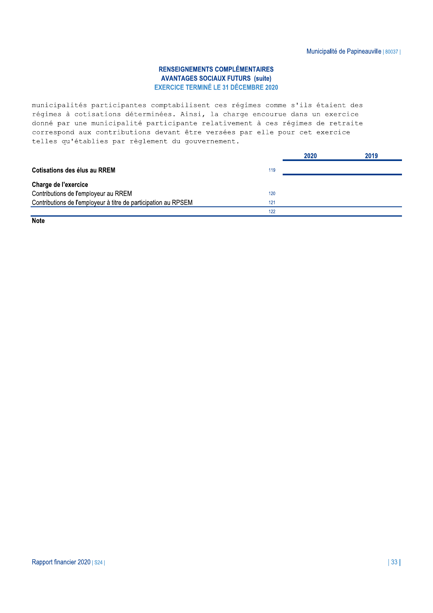municipalités participantes comptabilisent ces régimes comme s'ils étaient des régimes à cotisations déterminées. Ainsi, la charge encourue dans un exercice donné par une municipalité participante relativement à ces régimes de retraite correspond aux contributions devant être versées par elle pour cet exercice telles qu'établies par règlement du gouvernement.

|                                                                       | 2020 | 2019 |
|-----------------------------------------------------------------------|------|------|
| Cotisations des élus au RREM<br>119                                   |      |      |
| Charge de l'exercice                                                  |      |      |
| Contributions de l'employeur au RREM<br>120                           |      |      |
| Contributions de l'employeur à titre de participation au RPSEM<br>121 |      |      |
| 122                                                                   |      |      |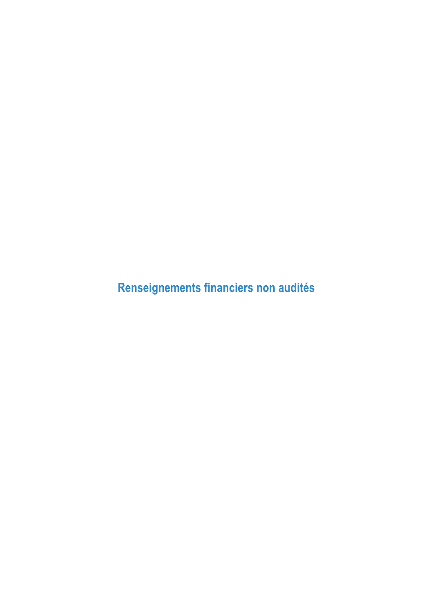Renseignements financiers non audités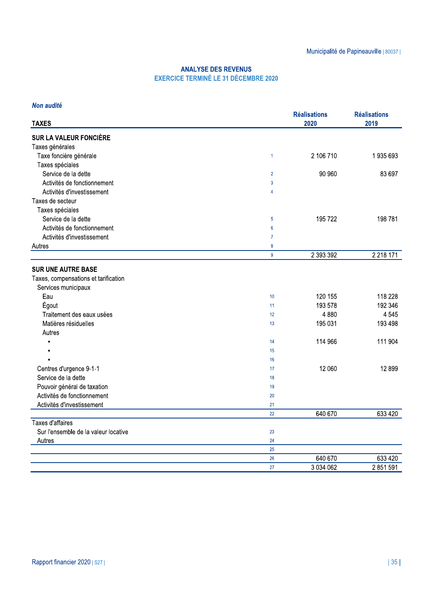|                                      |                                                                           |                     | Municipalité de Papineauville   80037 |
|--------------------------------------|---------------------------------------------------------------------------|---------------------|---------------------------------------|
|                                      | <b>ANALYSE DES REVENUS</b><br><b>EXERCICE TERMINÉ LE 31 DÉCEMBRE 2020</b> |                     |                                       |
| Non audité                           |                                                                           | <b>Réalisations</b> | <b>Réalisations</b>                   |
| <b>TAXES</b>                         |                                                                           | 2020                | 2019                                  |
| <b>SUR LA VALEUR FONCIÈRE</b>        |                                                                           |                     |                                       |
| Taxes générales                      |                                                                           |                     |                                       |
| Taxe foncière générale               | $\mathbf{1}$                                                              | 2 106 710           | 1935693                               |
| Taxes spéciales                      |                                                                           |                     |                                       |
| Service de la dette                  | $\overline{2}$                                                            | 90 960              | 83 697                                |
| Activités de fonctionnement          | 3                                                                         |                     |                                       |
| Activités d'investissement           | $\overline{4}$                                                            |                     |                                       |
| Taxes de secteur                     |                                                                           |                     |                                       |
| Taxes spéciales                      |                                                                           |                     |                                       |
| Service de la dette                  | 5                                                                         | 195 722             | 198 781                               |
| Activités de fonctionnement          | $6\phantom{1}$                                                            |                     |                                       |
| Activités d'investissement           | $\overline{7}$                                                            |                     |                                       |
| Autres                               | 8                                                                         |                     |                                       |
|                                      | $\boldsymbol{9}$                                                          | 2 393 392           | 2 2 18 1 7 1                          |
| <b>SUR UNE AUTRE BASE</b>            |                                                                           |                     |                                       |
| Taxes, compensations et tarification |                                                                           |                     |                                       |
| Services municipaux                  |                                                                           |                     |                                       |
| Eau                                  | 10                                                                        | 120 155             | 118 228                               |
| Égout                                | 11                                                                        | 193 578             | 192 346                               |
| Traitement des eaux usées            | 12                                                                        | 4 8 8 0             | 4 5 4 5                               |
| Matières résiduelles                 | 13                                                                        | 195 031             | 193 498                               |
| Autres                               |                                                                           |                     |                                       |
| $\blacksquare$                       | 14                                                                        | 114 966             | 111 904                               |
|                                      | 15                                                                        |                     |                                       |
|                                      | 16                                                                        |                     |                                       |
| Centres d'urgence 9-1-1              | 17                                                                        | 12 060              | 12 8 99                               |
| Service de la dette                  | 18                                                                        |                     |                                       |
| Pouvoir général de taxation          | 19                                                                        |                     |                                       |
| Activités de fonctionnement          | 20                                                                        |                     |                                       |
| Activités d'investissement           | 21                                                                        |                     |                                       |
|                                      | 22                                                                        | 640 670             | 633 420                               |
| <b>Taxes d'affaires</b>              |                                                                           |                     |                                       |
| Sur l'ensemble de la valeur locative | 23                                                                        |                     |                                       |
| Autres                               | 24                                                                        |                     |                                       |
|                                      | 25                                                                        |                     |                                       |
|                                      | 26                                                                        | 640 670             | 633 420                               |
|                                      | 27                                                                        | 3 0 3 4 0 6 2       | 2 851 591                             |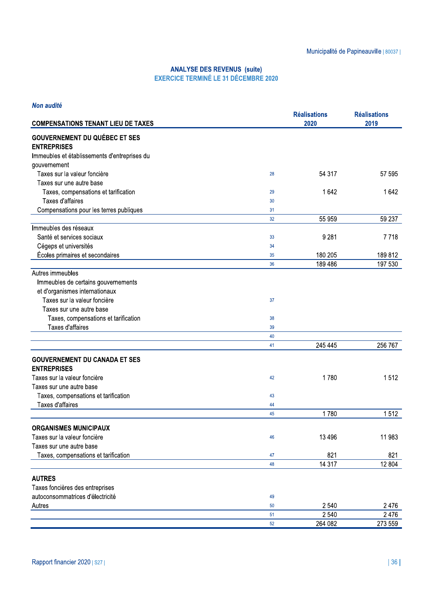|                                                                       |                                                                                   |                             | Municipalité de Papineauville   80037 |
|-----------------------------------------------------------------------|-----------------------------------------------------------------------------------|-----------------------------|---------------------------------------|
|                                                                       | <b>ANALYSE DES REVENUS (suite)</b><br><b>EXERCICE TERMINÉ LE 31 DÉCEMBRE 2020</b> |                             |                                       |
| Non audité                                                            |                                                                                   |                             |                                       |
| <b>COMPENSATIONS TENANT LIEU DE TAXES</b>                             |                                                                                   | <b>Réalisations</b><br>2020 | <b>Réalisations</b><br>2019           |
|                                                                       |                                                                                   |                             |                                       |
| <b>GOUVERNEMENT DU QUÉBEC ET SES</b><br><b>ENTREPRISES</b>            |                                                                                   |                             |                                       |
| Immeubles et établissements d'entreprises du                          |                                                                                   |                             |                                       |
| gouvernement                                                          |                                                                                   |                             |                                       |
| Taxes sur la valeur foncière                                          | 28                                                                                | 54 317                      | 57 595                                |
| Taxes sur une autre base                                              |                                                                                   |                             |                                       |
| Taxes, compensations et tarification<br>Taxes d'affaires              | 29<br>30                                                                          | 1642                        | 1642                                  |
| Compensations pour les terres publiques                               | 31                                                                                |                             |                                       |
|                                                                       | 32                                                                                | 55 959                      | 59 237                                |
| Immeubles des réseaux                                                 |                                                                                   |                             |                                       |
| Santé et services sociaux                                             | 33                                                                                | 9 2 8 1                     | 7718                                  |
| Cégeps et universités                                                 | 34                                                                                |                             |                                       |
| Écoles primaires et secondaires                                       | 35                                                                                | 180 205                     | 189812                                |
|                                                                       | 36                                                                                | 189 486                     | 197 530                               |
| Autres immeubles                                                      |                                                                                   |                             |                                       |
| Immeubles de certains gouvernements<br>et d'organismes internationaux |                                                                                   |                             |                                       |
| Taxes sur la valeur foncière                                          | 37                                                                                |                             |                                       |
| Taxes sur une autre base                                              |                                                                                   |                             |                                       |
| Taxes, compensations et tarification                                  | 38                                                                                |                             |                                       |
| Taxes d'affaires                                                      | 39                                                                                |                             |                                       |
|                                                                       | 40                                                                                |                             |                                       |
|                                                                       | 41                                                                                | 245 445                     | 256 767                               |
| <b>GOUVERNEMENT DU CANADA ET SES</b>                                  |                                                                                   |                             |                                       |
| <b>ENTREPRISES</b>                                                    |                                                                                   |                             |                                       |
| Taxes sur la valeur foncière                                          | 42                                                                                | 1780                        | 1512                                  |
| Taxes sur une autre base                                              |                                                                                   |                             |                                       |
| Taxes, compensations et tarification                                  | 43                                                                                |                             |                                       |
| Taxes d'affaires                                                      | 44<br>45                                                                          | 1780                        | 1512                                  |
|                                                                       |                                                                                   |                             |                                       |
| <b>ORGANISMES MUNICIPAUX</b>                                          |                                                                                   |                             |                                       |
| Taxes sur la valeur foncière                                          | 46                                                                                | 13 4 96                     | 11 983                                |
| Taxes sur une autre base                                              |                                                                                   |                             |                                       |
| Taxes, compensations et tarification                                  | 47<br>48                                                                          | 821<br>14 3 17              | 821<br>12 804                         |
|                                                                       |                                                                                   |                             |                                       |
| <b>AUTRES</b>                                                         |                                                                                   |                             |                                       |
| Taxes foncières des entreprises                                       |                                                                                   |                             |                                       |
| autoconsommatrices d'électricité                                      | 49                                                                                |                             |                                       |
| Autres                                                                | 50<br>51                                                                          | 2 5 4 0<br>2 5 4 0          | 2476<br>2476                          |
|                                                                       | 52                                                                                | 264 082                     | 273 559                               |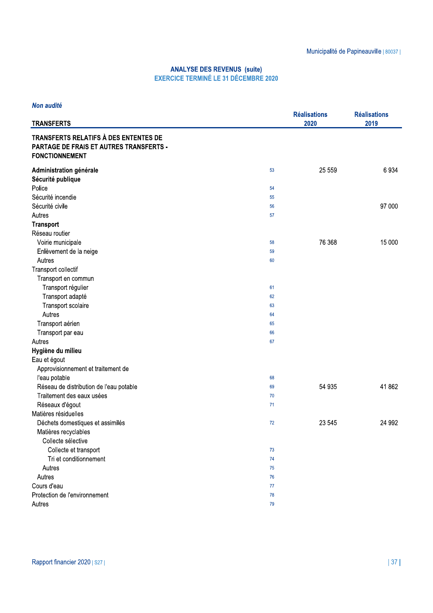| Non audité                                                                                                       |          |                             |                             |
|------------------------------------------------------------------------------------------------------------------|----------|-----------------------------|-----------------------------|
| <b>TRANSFERTS</b>                                                                                                |          | <b>Réalisations</b><br>2020 | <b>Réalisations</b><br>2019 |
| TRANSFERTS RELATIFS À DES ENTENTES DE<br><b>PARTAGE DE FRAIS ET AUTRES TRANSFERTS -</b><br><b>FONCTIONNEMENT</b> |          |                             |                             |
| Administration générale                                                                                          | 53       | 25 559                      | 6934                        |
| Sécurité publique                                                                                                |          |                             |                             |
| Police                                                                                                           | 54       |                             |                             |
| Sécurité incendie                                                                                                | 55       |                             |                             |
| Sécurité civile                                                                                                  | 56       |                             | 97 000                      |
| Autres                                                                                                           | 57       |                             |                             |
| <b>Transport</b>                                                                                                 |          |                             |                             |
| Réseau routier                                                                                                   |          |                             |                             |
| Voirie municipale                                                                                                | 58       | 76 368                      | 15 000                      |
| Enlèvement de la neige                                                                                           | 59       |                             |                             |
| Autres                                                                                                           | 60       |                             |                             |
| Transport collectif                                                                                              |          |                             |                             |
| Transport en commun                                                                                              |          |                             |                             |
| Transport régulier                                                                                               | 61       |                             |                             |
| Transport adapté                                                                                                 | 62       |                             |                             |
| Transport scolaire                                                                                               | 63       |                             |                             |
| Autres                                                                                                           | 64       |                             |                             |
| Transport aérien                                                                                                 | 65       |                             |                             |
| Transport par eau                                                                                                | 66       |                             |                             |
| Autres                                                                                                           | 67       |                             |                             |
| Hygiène du milieu                                                                                                |          |                             |                             |
| Eau et égout                                                                                                     |          |                             |                             |
| Approvisionnement et traitement de                                                                               |          |                             |                             |
| l'eau potable                                                                                                    | 68       |                             |                             |
| Réseau de distribution de l'eau potable                                                                          | 69       | 54 935                      | 41 862                      |
| Traitement des eaux usées                                                                                        | 70       |                             |                             |
| Réseaux d'égout                                                                                                  | 71       |                             |                             |
| Matières résiduelles                                                                                             |          |                             |                             |
| Déchets domestiques et assimilés                                                                                 | 72       | 23 545                      | 24 992                      |
| Matières recyclables<br>Collecte sélective                                                                       |          |                             |                             |
|                                                                                                                  |          |                             |                             |
| Collecte et transport                                                                                            | 73       |                             |                             |
| Tri et conditionnement                                                                                           | 74       |                             |                             |
| Autres                                                                                                           | 75       |                             |                             |
| Autres<br>Cours d'eau                                                                                            | 76<br>77 |                             |                             |
| Protection de l'environnement                                                                                    | 78       |                             |                             |
| Autres                                                                                                           | 79       |                             |                             |
|                                                                                                                  |          |                             |                             |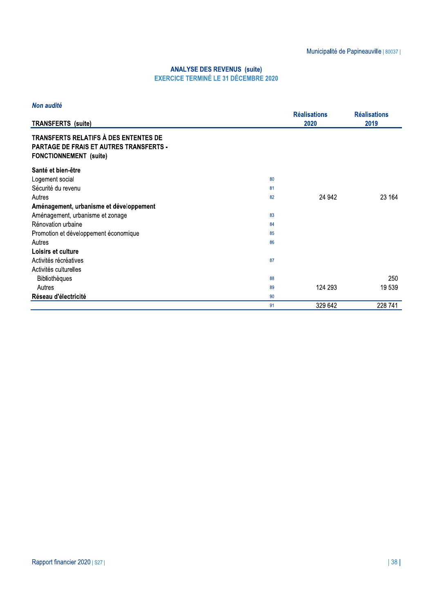| Non audité                                                                                                               |    |                     |                     |
|--------------------------------------------------------------------------------------------------------------------------|----|---------------------|---------------------|
|                                                                                                                          |    | <b>Réalisations</b> | <b>Réalisations</b> |
| <b>TRANSFERTS</b> (suite)                                                                                                |    | 2020                | 2019                |
| TRANSFERTS RELATIFS À DES ENTENTES DE<br><b>PARTAGE DE FRAIS ET AUTRES TRANSFERTS -</b><br><b>FONCTIONNEMENT</b> (suite) |    |                     |                     |
| Santé et bien-être                                                                                                       |    |                     |                     |
| Logement social                                                                                                          | 80 |                     |                     |
| Sécurité du revenu                                                                                                       | 81 |                     |                     |
| Autres                                                                                                                   | 82 | 24 942              | 23 164              |
| Aménagement, urbanisme et développement                                                                                  |    |                     |                     |
| Aménagement, urbanisme et zonage                                                                                         | 83 |                     |                     |
| Rénovation urbaine                                                                                                       | 84 |                     |                     |
| Promotion et développement économique                                                                                    | 85 |                     |                     |
| Autres                                                                                                                   | 86 |                     |                     |
| Loisirs et culture                                                                                                       |    |                     |                     |
| Activités récréatives                                                                                                    | 87 |                     |                     |
| Activités culturelles                                                                                                    |    |                     |                     |
| <b>Bibliothèques</b>                                                                                                     | 88 |                     | 250                 |
| Autres                                                                                                                   | 89 | 124 293             | 19 539              |
| Réseau d'électricité                                                                                                     | 90 |                     |                     |
|                                                                                                                          | 91 | 329 642             | 228 741             |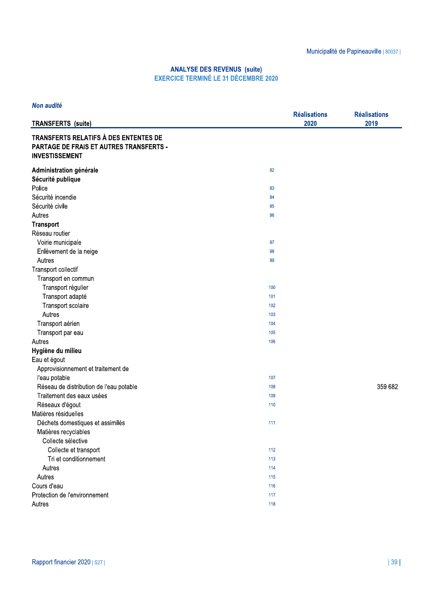| <b>Non audité</b>                                                                                         |                     |                     |
|-----------------------------------------------------------------------------------------------------------|---------------------|---------------------|
|                                                                                                           | <b>Réalisations</b> | <b>Réalisations</b> |
| <b>TRANSFERTS</b> (suite)                                                                                 | 2020                | 2019                |
| TRANSFERTS RELATIFS À DES ENTENTES DE<br>PARTAGE DE FRAIS ET AUTRES TRANSFERTS -<br><b>INVESTISSEMENT</b> |                     |                     |
| Administration générale                                                                                   | 92                  |                     |
| Sécurité publique                                                                                         |                     |                     |
| Police                                                                                                    | 93                  |                     |
| Sécurité incendie                                                                                         | 94                  |                     |
| Sécurité civile                                                                                           | 95                  |                     |
| Autres                                                                                                    | 96                  |                     |
| <b>Transport</b>                                                                                          |                     |                     |
| Réseau routier                                                                                            |                     |                     |
| Voirie municipale                                                                                         | 97                  |                     |
| Enlèvement de la neige                                                                                    | 98                  |                     |
| Autres                                                                                                    | 99                  |                     |
| Transport collectif                                                                                       |                     |                     |
| Transport en commun                                                                                       |                     |                     |
| Transport régulier                                                                                        | 100                 |                     |
| Transport adapté                                                                                          | 101                 |                     |
| Transport scolaire                                                                                        | 102                 |                     |
| Autres                                                                                                    | 103                 |                     |
| Transport aérien                                                                                          | 104                 |                     |
| Transport par eau                                                                                         | 105                 |                     |
| Autres                                                                                                    | 106                 |                     |
| Hygiène du milieu                                                                                         |                     |                     |
| Eau et égout                                                                                              |                     |                     |
| Approvisionnement et traitement de                                                                        |                     |                     |
| l'eau potable                                                                                             | 107                 |                     |
| Réseau de distribution de l'eau potable                                                                   | 108                 | 359 682             |
| Traitement des eaux usées                                                                                 | 109                 |                     |
| Réseaux d'égout                                                                                           | 110                 |                     |
| Matières résiduelles                                                                                      |                     |                     |
| Déchets domestiques et assimilés                                                                          | 111                 |                     |
| Matières recyclables                                                                                      |                     |                     |
| Collecte sélective                                                                                        |                     |                     |
| Collecte et transport                                                                                     | 112                 |                     |
| Tri et conditionnement                                                                                    | 113                 |                     |
| Autres                                                                                                    | 114                 |                     |
| Autres                                                                                                    | 115                 |                     |
| Cours d'eau                                                                                               | 116                 |                     |
| Protection de l'environnement                                                                             | 117                 |                     |
| Autres                                                                                                    | 118                 |                     |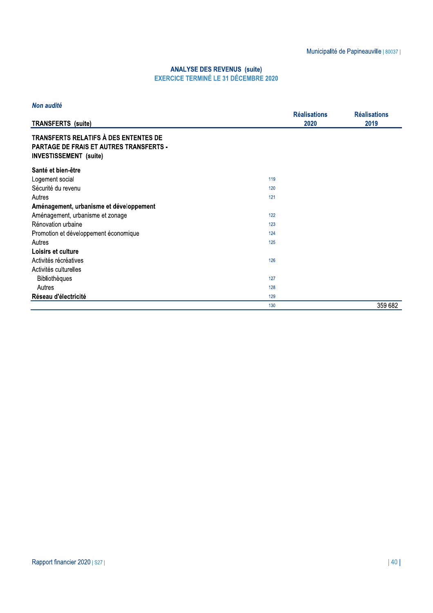| Non audité                                                                                                        |     |                             |                             |
|-------------------------------------------------------------------------------------------------------------------|-----|-----------------------------|-----------------------------|
| <b>TRANSFERTS</b> (suite)                                                                                         |     | <b>Réalisations</b><br>2020 | <b>Réalisations</b><br>2019 |
| TRANSFERTS RELATIFS À DES ENTENTES DE<br>PARTAGE DE FRAIS ET AUTRES TRANSFERTS -<br><b>INVESTISSEMENT</b> (suite) |     |                             |                             |
| Santé et bien-être                                                                                                |     |                             |                             |
| Logement social                                                                                                   | 119 |                             |                             |
| Sécurité du revenu                                                                                                | 120 |                             |                             |
| Autres                                                                                                            | 121 |                             |                             |
| Aménagement, urbanisme et développement                                                                           |     |                             |                             |
| Aménagement, urbanisme et zonage                                                                                  | 122 |                             |                             |
| Rénovation urbaine                                                                                                | 123 |                             |                             |
| Promotion et développement économique                                                                             | 124 |                             |                             |
| Autres                                                                                                            | 125 |                             |                             |
| Loisirs et culture                                                                                                |     |                             |                             |
| Activités récréatives                                                                                             | 126 |                             |                             |
| Activités culturelles                                                                                             |     |                             |                             |
| <b>Bibliothèques</b>                                                                                              | 127 |                             |                             |
| Autres                                                                                                            | 128 |                             |                             |
| Réseau d'électricité                                                                                              | 129 |                             |                             |
|                                                                                                                   | 130 |                             | 359 682                     |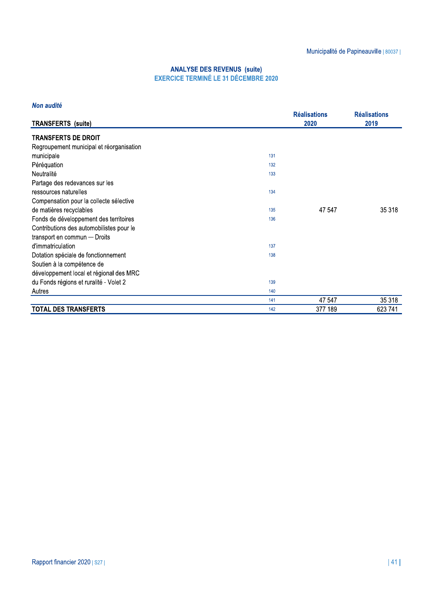#### Non audité

| <b>TRANSFERTS</b> (suite)                |     | <b>Réalisations</b><br>2020 | <b>Réalisations</b><br>2019 |
|------------------------------------------|-----|-----------------------------|-----------------------------|
| <b>TRANSFERTS DE DROIT</b>               |     |                             |                             |
| Regroupement municipal et réorganisation |     |                             |                             |
|                                          |     |                             |                             |
| municipale                               | 131 |                             |                             |
| Péréquation                              | 132 |                             |                             |
| Neutralité                               | 133 |                             |                             |
| Partage des redevances sur les           |     |                             |                             |
| ressources naturelles                    | 134 |                             |                             |
| Compensation pour la collecte sélective  |     |                             |                             |
| de matières recyclables                  | 135 | 47 547                      | 35 318                      |
| Fonds de développement des territoires   | 136 |                             |                             |
| Contributions des automobilistes pour le |     |                             |                             |
| transport en commun - Droits             |     |                             |                             |
| d'immatriculation                        | 137 |                             |                             |
| Dotation spéciale de fonctionnement      | 138 |                             |                             |
| Soutien à la compétence de               |     |                             |                             |
| développement local et régional des MRC  |     |                             |                             |
| du Fonds régions et ruralité - Volet 2   | 139 |                             |                             |
| Autres                                   | 140 |                             |                             |
|                                          | 141 | 47 547                      | 35 318                      |
| <b>TOTAL DES TRANSFERTS</b>              | 142 | 377 189                     | 623 741                     |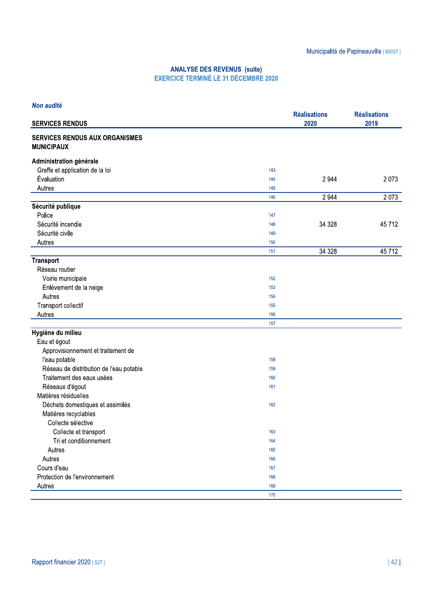| Non audité                                                 |     |                             |                             |
|------------------------------------------------------------|-----|-----------------------------|-----------------------------|
| <b>SERVICES RENDUS</b>                                     |     | <b>Réalisations</b><br>2020 | <b>Réalisations</b><br>2019 |
| <b>SERVICES RENDUS AUX ORGANISMES</b><br><b>MUNICIPAUX</b> |     |                             |                             |
| Administration générale                                    |     |                             |                             |
| Greffe et application de la loi                            | 143 |                             |                             |
| Évaluation                                                 | 144 | 2 9 4 4                     | 2073                        |
| Autres                                                     | 145 |                             |                             |
|                                                            | 146 | 2 9 4 4                     | 2073                        |
| Sécurité publique                                          |     |                             |                             |
| Police                                                     | 147 |                             |                             |
| Sécurité incendie                                          | 148 | 34 3 28                     | 45712                       |
| Sécurité civile                                            | 149 |                             |                             |
| Autres                                                     | 150 |                             |                             |
|                                                            | 151 | 34 328                      | 45712                       |
| <b>Transport</b>                                           |     |                             |                             |
| Réseau routier                                             |     |                             |                             |
| Voirie municipale                                          | 152 |                             |                             |
| Enlèvement de la neige                                     | 153 |                             |                             |
| Autres                                                     | 154 |                             |                             |
| Transport collectif                                        | 155 |                             |                             |
| Autres                                                     | 156 |                             |                             |
|                                                            | 157 |                             |                             |
| Hygiène du milieu                                          |     |                             |                             |
| Eau et égout                                               |     |                             |                             |
| Approvisionnement et traitement de                         |     |                             |                             |
| l'eau potable                                              | 158 |                             |                             |
| Réseau de distribution de l'eau potable                    | 159 |                             |                             |
| Traitement des eaux usées                                  | 160 |                             |                             |
| Réseaux d'égout                                            | 161 |                             |                             |
| Matières résiduelles                                       |     |                             |                             |
| Déchets domestiques et assimilés                           | 162 |                             |                             |
| Matières recyclables                                       |     |                             |                             |
| Collecte sélective                                         |     |                             |                             |
| Collecte et transport                                      | 163 |                             |                             |
| Tri et conditionnement                                     | 164 |                             |                             |
| Autres                                                     | 165 |                             |                             |
| Autres                                                     | 166 |                             |                             |
| Cours d'eau                                                | 167 |                             |                             |
| Protection de l'environnement                              | 168 |                             |                             |
| Autres                                                     | 169 |                             |                             |
|                                                            | 170 |                             |                             |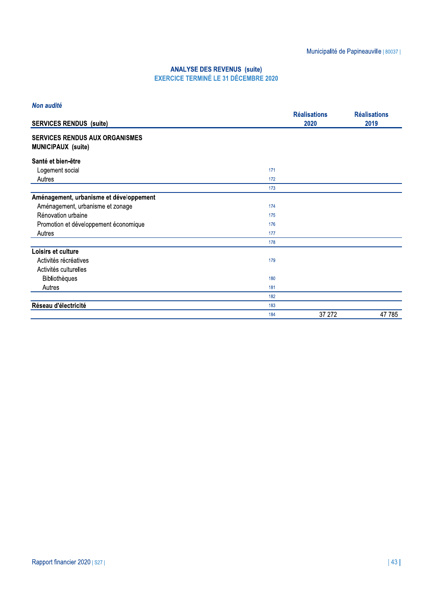#### Non audité

| <b>SERVICES RENDUS (suite)</b>                                     |     | <b>Réalisations</b><br>2020 | <b>Réalisations</b><br>2019 |
|--------------------------------------------------------------------|-----|-----------------------------|-----------------------------|
| <b>SERVICES RENDUS AUX ORGANISMES</b><br><b>MUNICIPAUX (suite)</b> |     |                             |                             |
| Santé et bien-être                                                 |     |                             |                             |
| Logement social                                                    | 171 |                             |                             |
| Autres                                                             | 172 |                             |                             |
|                                                                    | 173 |                             |                             |
| Aménagement, urbanisme et développement                            |     |                             |                             |
| Aménagement, urbanisme et zonage                                   | 174 |                             |                             |
| Rénovation urbaine                                                 | 175 |                             |                             |
| Promotion et développement économique                              | 176 |                             |                             |
| Autres                                                             | 177 |                             |                             |
|                                                                    | 178 |                             |                             |
| Loisirs et culture                                                 |     |                             |                             |
| Activités récréatives                                              | 179 |                             |                             |
| Activités culturelles                                              |     |                             |                             |
| <b>Bibliothèques</b>                                               | 180 |                             |                             |
| Autres                                                             | 181 |                             |                             |
|                                                                    | 182 |                             |                             |
| Réseau d'électricité                                               | 183 |                             |                             |
|                                                                    | 184 | 37 27 2                     | 47785                       |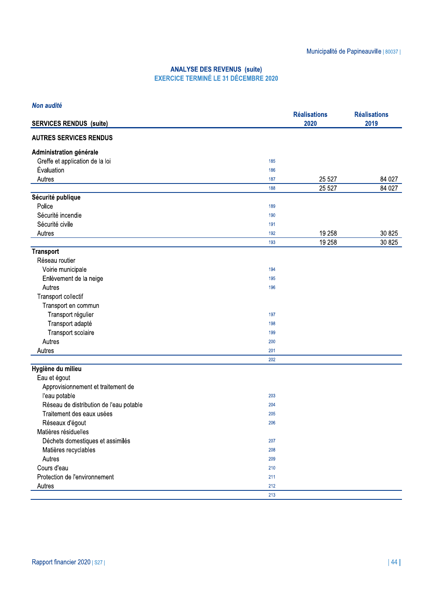| Non audité                              |     |                             |                             |
|-----------------------------------------|-----|-----------------------------|-----------------------------|
| <b>SERVICES RENDUS (suite)</b>          |     | <b>Réalisations</b><br>2020 | <b>Réalisations</b><br>2019 |
| <b>AUTRES SERVICES RENDUS</b>           |     |                             |                             |
| Administration générale                 |     |                             |                             |
| Greffe et application de la loi         | 185 |                             |                             |
| Évaluation                              | 186 |                             |                             |
| Autres                                  | 187 | 25 5 27                     | 84 027                      |
|                                         | 188 | 25 5 27                     | 84 027                      |
| Sécurité publique                       |     |                             |                             |
| Police                                  | 189 |                             |                             |
| Sécurité incendie                       | 190 |                             |                             |
| Sécurité civile                         | 191 |                             |                             |
| Autres                                  | 192 | 19 258                      | 30 825                      |
|                                         | 193 | 19 258                      | 30 825                      |
| <b>Transport</b>                        |     |                             |                             |
| Réseau routier                          |     |                             |                             |
| Voirie municipale                       | 194 |                             |                             |
| Enlèvement de la neige                  | 195 |                             |                             |
| Autres                                  | 196 |                             |                             |
| Transport collectif                     |     |                             |                             |
| Transport en commun                     |     |                             |                             |
| Transport régulier                      | 197 |                             |                             |
| Transport adapté                        | 198 |                             |                             |
| Transport scolaire                      | 199 |                             |                             |
| Autres                                  | 200 |                             |                             |
| Autres                                  | 201 |                             |                             |
|                                         | 202 |                             |                             |
| Hygiène du milieu                       |     |                             |                             |
| Eau et égout                            |     |                             |                             |
| Approvisionnement et traitement de      |     |                             |                             |
| l'eau potable                           | 203 |                             |                             |
| Réseau de distribution de l'eau potable | 204 |                             |                             |
| Traitement des eaux usées               | 205 |                             |                             |
| Réseaux d'égout                         | 206 |                             |                             |
| Matières résiduelles                    |     |                             |                             |
| Déchets domestiques et assimilés        | 207 |                             |                             |
| Matières recyclables                    | 208 |                             |                             |
| Autres                                  | 209 |                             |                             |
| Cours d'eau                             |     |                             |                             |
| Protection de l'environnement           | 210 |                             |                             |
|                                         | 211 |                             |                             |
| Autres                                  | 212 |                             |                             |
|                                         | 213 |                             |                             |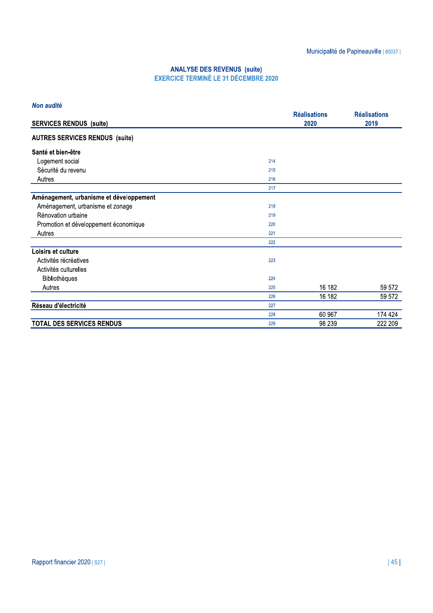|                                         |     | <b>Réalisations</b> | <b>Réalisations</b> |
|-----------------------------------------|-----|---------------------|---------------------|
| <b>SERVICES RENDUS (suite)</b>          |     | 2020                | 2019                |
| <b>AUTRES SERVICES RENDUS (suite)</b>   |     |                     |                     |
| Santé et bien-être                      |     |                     |                     |
| Logement social                         | 214 |                     |                     |
| Sécurité du revenu                      | 215 |                     |                     |
| Autres                                  | 216 |                     |                     |
|                                         | 217 |                     |                     |
| Aménagement, urbanisme et développement |     |                     |                     |
| Aménagement, urbanisme et zonage        | 218 |                     |                     |
| Rénovation urbaine                      | 219 |                     |                     |
| Promotion et développement économique   | 220 |                     |                     |
| Autres                                  | 221 |                     |                     |
|                                         | 222 |                     |                     |
| Loisirs et culture                      |     |                     |                     |
| Activités récréatives                   | 223 |                     |                     |
| Activités culturelles                   |     |                     |                     |
| <b>Bibliothèques</b>                    | 224 |                     |                     |
| Autres                                  | 225 | 16 182              | 59 572              |
|                                         | 226 | 16 182              | 59 572              |
| Réseau d'électricité                    | 227 |                     |                     |
|                                         | 228 | 60 967              | 174 424             |
| <b>TOTAL DES SERVICES RENDUS</b>        | 229 | 98 239              | 222 209             |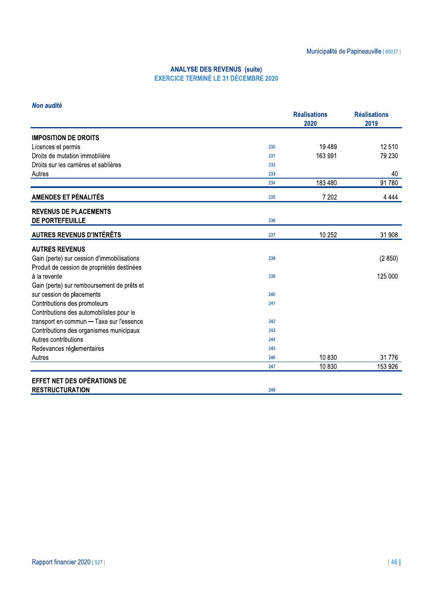#### Non audité

|                                            |     | <b>Réalisations</b><br>2020 | <b>Réalisations</b><br>2019 |
|--------------------------------------------|-----|-----------------------------|-----------------------------|
| <b>IMPOSITION DE DROITS</b>                |     |                             |                             |
| Licences et permis                         | 230 | 19 4 89                     | 12510                       |
| Droits de mutation immobilière             | 231 | 163 991                     | 79 230                      |
| Droits sur les carrières et sablières      | 232 |                             |                             |
| Autres                                     | 233 |                             | 40                          |
|                                            | 234 | 183 480                     | 91 780                      |
| <b>AMENDES ET PÉNALITÉS</b>                | 235 | 7 202                       | 4 4 4 4                     |
| <b>REVENUS DE PLACEMENTS</b>               |     |                             |                             |
| DE PORTEFEUILLE                            | 236 |                             |                             |
| <b>AUTRES REVENUS D'INTÉRÊTS</b>           | 237 | 10 252                      | 31 908                      |
| <b>AUTRES REVENUS</b>                      |     |                             |                             |
| Gain (perte) sur cession d'immobilisations | 238 |                             | (2850)                      |
| Produit de cession de propriétés destinées |     |                             |                             |
| à la revente                               | 239 |                             | 125 000                     |
| Gain (perte) sur remboursement de prêts et |     |                             |                             |
| sur cession de placements                  | 240 |                             |                             |
| Contributions des promoteurs               | 241 |                             |                             |
| Contributions des automobilistes pour le   |     |                             |                             |
| transport en commun - Taxe sur l'essence   | 242 |                             |                             |
| Contributions des organismes municipaux    | 243 |                             |                             |
| Autres contributions                       | 244 |                             |                             |
| Redevances réglementaires                  | 245 |                             |                             |
| Autres                                     | 246 | 10830                       | 31776                       |
|                                            | 247 | 10830                       | 153 926                     |
| EFFET NET DES OPÉRATIONS DE                |     |                             |                             |
| <b>RESTRUCTURATION</b>                     | 248 |                             |                             |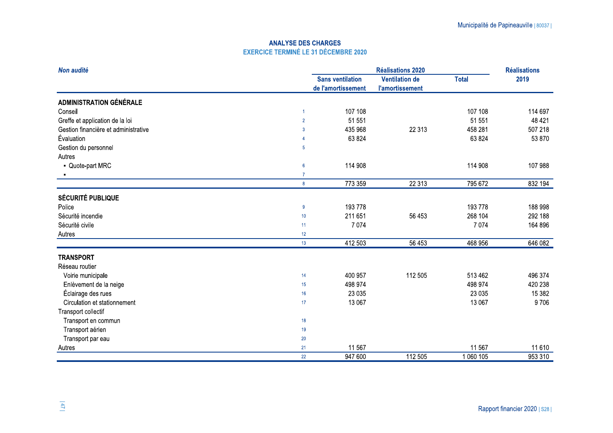### **ANALYSE DES CHARGES EXERCICE TERMINÉ LE 31 DÉCEMBRE 2020**

| Non audité                           |                         | <b>Réalisations 2020</b>                      |                                                 |              |         |
|--------------------------------------|-------------------------|-----------------------------------------------|-------------------------------------------------|--------------|---------|
|                                      |                         | <b>Sans ventilation</b><br>de l'amortissement | <b>Ventilation de</b><br><b>l'amortissement</b> | <b>Total</b> | 2019    |
| <b>ADMINISTRATION GÉNÉRALE</b>       |                         |                                               |                                                 |              |         |
| Conseil                              |                         | 107 108                                       |                                                 | 107 108      | 114 697 |
| Greffe et application de la loi      | $\overline{2}$          | 51 551                                        |                                                 | 51 551       | 48 4 21 |
| Gestion financière et administrative | 3                       | 435 968                                       | 22 313                                          | 458 281      | 507 218 |
| Évaluation                           |                         | 63 824                                        |                                                 | 63 824       | 53 870  |
| Gestion du personnel                 | $\overline{5}$          |                                               |                                                 |              |         |
| Autres                               |                         |                                               |                                                 |              |         |
| - Quote-part MRC                     | $6\phantom{1}6$         | 114 908                                       |                                                 | 114 908      | 107 988 |
|                                      | $\overline{7}$          |                                               |                                                 |              |         |
|                                      | $\overline{\mathbf{8}}$ | 773 359                                       | 22 313                                          | 795 672      | 832 194 |
| <b>SÉCURITÉ PUBLIQUE</b>             |                         |                                               |                                                 |              |         |
| Police                               | 9                       | 193 778                                       |                                                 | 193 778      | 188 998 |
| Sécurité incendie                    | 10                      | 211 651                                       | 56 453                                          | 268 104      | 292 188 |
| Sécurité civile                      | 11                      | 7 0 7 4                                       |                                                 | 7 0 7 4      | 164 896 |
| Autres                               | 12                      |                                               |                                                 |              |         |
|                                      | 13                      | 412 503                                       | 56 453                                          | 468 956      | 646 082 |
| <b>TRANSPORT</b>                     |                         |                                               |                                                 |              |         |
| Réseau routier                       |                         |                                               |                                                 |              |         |
| Voirie municipale                    | 14                      | 400 957                                       | 112 505                                         | 513 462      | 496 374 |
| Enlèvement de la neige               | 15                      | 498 974                                       |                                                 | 498 974      | 420 238 |
| Éclairage des rues                   | 16                      | 23 0 35                                       |                                                 | 23 0 35      | 15 3 82 |
| Circulation et stationnement         | 17                      | 13 067                                        |                                                 | 13 067       | 9706    |
| Transport collectif                  |                         |                                               |                                                 |              |         |
| Transport en commun                  | 18                      |                                               |                                                 |              |         |
| Transport aérien                     | 19                      |                                               |                                                 |              |         |
| Transport par eau                    | 20                      |                                               |                                                 |              |         |
| Autres                               | 21                      | 11 567                                        |                                                 | 11 567       | 11 610  |
|                                      | 22                      | 947 600                                       | 112 505                                         | 1 060 105    | 953 310 |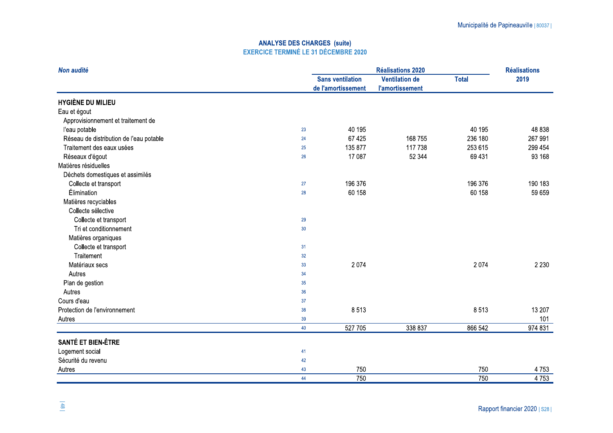| Non audité                              |                         | <b>Réalisations 2020</b> |                        |              | <b>Réalisations</b> |
|-----------------------------------------|-------------------------|--------------------------|------------------------|--------------|---------------------|
|                                         | <b>Sans ventilation</b> |                          | <b>Ventilation de</b>  | <b>Total</b> | 2019                |
|                                         |                         | de l'amortissement       | <b>l'amortissement</b> |              |                     |
| <b>HYGIÈNE DU MILIEU</b>                |                         |                          |                        |              |                     |
| Eau et égout                            |                         |                          |                        |              |                     |
| Approvisionnement et traitement de      |                         |                          |                        |              |                     |
| l'eau potable                           | 23                      | 40 195                   |                        | 40 195       | 48 838              |
| Réseau de distribution de l'eau potable | 24                      | 67 4 25                  | 168 755                | 236 180      | 267 991             |
| Traitement des eaux usées               | 25                      | 135 877                  | 117 738                | 253 615      | 299 454             |
| Réseaux d'égout                         | 26                      | 17 087                   | 52 344                 | 69 431       | 93 168              |
| Matières résiduelles                    |                         |                          |                        |              |                     |
| Déchets domestiques et assimilés        |                         |                          |                        |              |                     |
| Collecte et transport                   | 27                      | 196 376                  |                        | 196 376      | 190 183             |
| Élimination                             | 28                      | 60 158                   |                        | 60 158       | 59 659              |
| Matières recyclables                    |                         |                          |                        |              |                     |
| Collecte sélective                      |                         |                          |                        |              |                     |
| Collecte et transport                   | 29                      |                          |                        |              |                     |
| Tri et conditionnement                  | 30 <sup>°</sup>         |                          |                        |              |                     |
| Matières organiques                     |                         |                          |                        |              |                     |
| Collecte et transport                   | 31                      |                          |                        |              |                     |
| Traitement                              | 32                      |                          |                        |              |                     |
| Matériaux secs                          | 33                      | 2 0 7 4                  |                        | 2 0 7 4      | 2 2 3 0             |
| Autres                                  | 34                      |                          |                        |              |                     |
| Plan de gestion                         | 35                      |                          |                        |              |                     |
| Autres                                  | 36                      |                          |                        |              |                     |
| Cours d'eau                             | 37                      |                          |                        |              |                     |
| Protection de l'environnement           | 38                      | 8513                     |                        | 8513         | 13 207              |
| Autres                                  | 39                      |                          |                        |              | 101                 |
|                                         | 40                      | 527 705                  | 338 837                | 866 542      | 974 831             |
| SANTÉ ET BIEN-ÊTRE                      |                         |                          |                        |              |                     |
| Logement social                         | 41                      |                          |                        |              |                     |
| Sécurité du revenu                      | 42                      |                          |                        |              |                     |
| Autres                                  | 43                      | 750                      |                        | 750          | 4753                |
|                                         | 44                      | 750                      |                        | 750          | 4753                |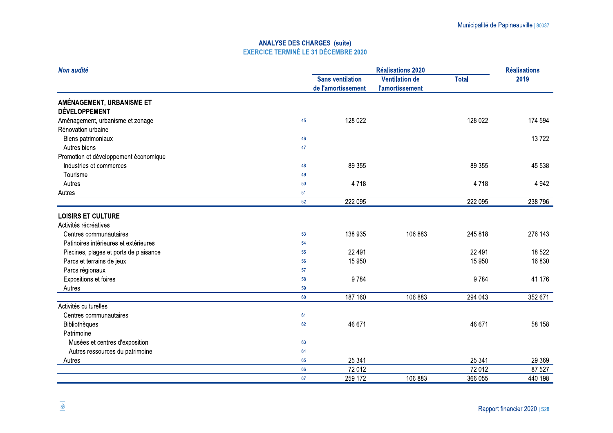| Non audité                             |    | <b>Réalisations 2020</b> |                        |              | <b>Réalisations</b> |
|----------------------------------------|----|--------------------------|------------------------|--------------|---------------------|
|                                        |    | <b>Sans ventilation</b>  | <b>Ventilation de</b>  | <b>Total</b> | 2019                |
|                                        |    | de l'amortissement       | <b>l'amortissement</b> |              |                     |
| AMÉNAGEMENT, URBANISME ET              |    |                          |                        |              |                     |
| <b>DÉVELOPPEMENT</b>                   |    |                          |                        |              |                     |
| Aménagement, urbanisme et zonage       | 45 | 128 022                  |                        | 128 022      | 174 594             |
| Rénovation urbaine                     |    |                          |                        |              |                     |
| Biens patrimoniaux                     | 46 |                          |                        |              | 13722               |
| Autres biens                           | 47 |                          |                        |              |                     |
| Promotion et développement économique  |    |                          |                        |              |                     |
| Industries et commerces                | 48 | 89 355                   |                        | 89 355       | 45 538              |
| Tourisme                               | 49 |                          |                        |              |                     |
| Autres                                 | 50 | 4718                     |                        | 4718         | 4 9 4 2             |
| Autres                                 | 51 |                          |                        |              |                     |
|                                        | 52 | 222 095                  |                        | 222 095      | 238 796             |
| <b>LOISIRS ET CULTURE</b>              |    |                          |                        |              |                     |
| Activités récréatives                  |    |                          |                        |              |                     |
| Centres communautaires                 | 53 | 138 935                  | 106 883                | 245 818      | 276 143             |
| Patinoires intérieures et extérieures  | 54 |                          |                        |              |                     |
| Piscines, plages et ports de plaisance | 55 | 22 4 9 1                 |                        | 22 4 9 1     | 18 522              |
| Parcs et terrains de jeux              | 56 | 15 950                   |                        | 15 950       | 16830               |
| Parcs régionaux                        | 57 |                          |                        |              |                     |
| Expositions et foires                  | 58 | 9784                     |                        | 9784         | 41 176              |
| Autres                                 | 59 |                          |                        |              |                     |
|                                        | 60 | 187 160                  | 106 883                | 294 043      | 352 671             |
| Activités culturelles                  |    |                          |                        |              |                     |
| Centres communautaires                 | 61 |                          |                        |              |                     |
| Bibliothèques                          | 62 | 46 671                   |                        | 46 671       | 58 158              |
| Patrimoine                             |    |                          |                        |              |                     |
| Musées et centres d'exposition         | 63 |                          |                        |              |                     |
| Autres ressources du patrimoine        | 64 |                          |                        |              |                     |
| Autres                                 | 65 | 25 341                   |                        | 25 341       | 29 3 69             |
|                                        | 66 | 72 012                   |                        | 72 012       | 87 527              |
|                                        | 67 | 259 172                  | 106 883                | 366 055      | 440 198             |